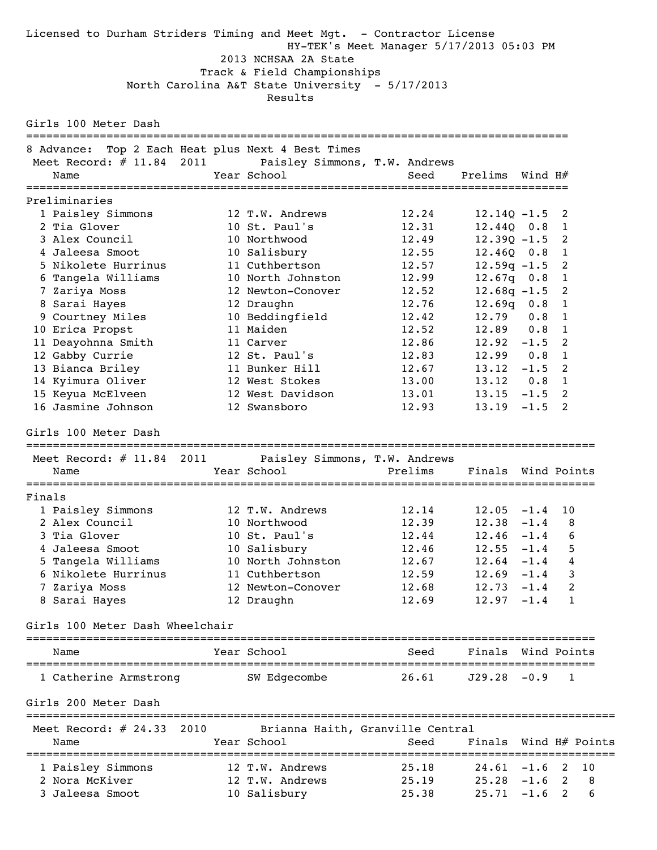Licensed to Durham Striders Timing and Meet Mgt. - Contractor License HY-TEK's Meet Manager 5/17/2013 05:03 PM 2013 NCHSAA 2A State Track & Field Championships North Carolina A&T State University - 5/17/2013 Results Girls 100 Meter Dash ================================================================================= 8 Advance: Top 2 Each Heat plus Next 4 Best Times Meet Record: # 11.84 2011 Paisley Simmons, T.W. Andrews<br>Name Year School Seed Name  $Year School$  School Seed Prelims Wind H# ================================================================================= Preliminaries 1 Paisley Simmons 12 T.W. Andrews 12.24 12.14Q -1.5 2 2 Tia Glover 10 St. Paul's 12.31 12.44Q 0.8 1 3 Alex Council 10 Northwood 12.49 12.39Q -1.5 2 4 Jaleesa Smoot 10 Salisbury 12.55 12.46Q 0.8 1 5 Nikolete Hurrinus 11 Cuthbertson 12.57 12.59q -1.5 2 6 Tangela Williams 10 North Johnston 12.99 12.67q 0.8 1 7 Zariya Moss 12 Newton-Conover 12.52 12.68q -1.5 2 8 Sarai Hayes 12 Draughn 12.76 12.69q 0.8 1 9 Courtney Miles 10 Beddingfield 12.42 12.79 0.8 1 10 Erica Propst 11 Maiden 12.52 12.89 0.8 1 11 Deayohnna Smith 11 Carver 12.86 12.92 -1.5 2 12 Gabby Currie 12 St. Paul's 12.83 12.99 0.8 1 13 Bianca Briley 11 Bunker Hill 12.67 13.12 -1.5 2 14 Kyimura Oliver 12 West Stokes 13.00 13.12 0.8 1 15 Keyua McElveen 12 West Davidson 13.01 13.15 -1.5 2 16 Jasmine Johnson 12 Swansboro 12.93 13.19 -1.5 2 Girls 100 Meter Dash ===================================================================================== Meet Record: # 11.84 2011 Paisley Simmons, T.W. Andrews Name Year School Prelims Finals Wind Points ===================================================================================== Finals 1 Paisley Simmons 12 T.W. Andrews 12.14 12.05 -1.4 10 2 Alex Council 10 Northwood 12.39 12.38 -1.4 8 3 Tia Glover 10 St. Paul's 12.44 12.46 -1.4 6 4 Jaleesa Smoot 10 Salisbury 12.46 12.55 -1.4 5 5 Tangela Williams 10 North Johnston 12.67 12.64 -1.4 4 6 Nikolete Hurrinus 11 Cuthbertson 12.59 12.69 -1.4 3 7 Zariya Moss 12 Newton-Conover 12.68 12.73 -1.4 2 8 Sarai Hayes 12 Draughn 12.69 12.97 -1.4 1 Girls 100 Meter Dash Wheelchair ===================================================================================== Name Year School Seed Finals Wind Points ===================================================================================== 1 Catherine Armstrong SW Edgecombe 26.61 J29.28 -0.9 1 Girls 200 Meter Dash ======================================================================================== Meet Record: # 24.33 2010 Brianna Haith, Granville Central Name The Year School Control of Seed Finals Wind H# Points ======================================================================================== 1 Paisley Simmons 12 T.W. Andrews 25.18 24.61 -1.6 2 10 2 Nora McKiver 12 T.W. Andrews 25.19 25.28 -1.6 2 8 3 Jaleesa Smoot 10 Salisbury 25.38 25.71 -1.6 2 6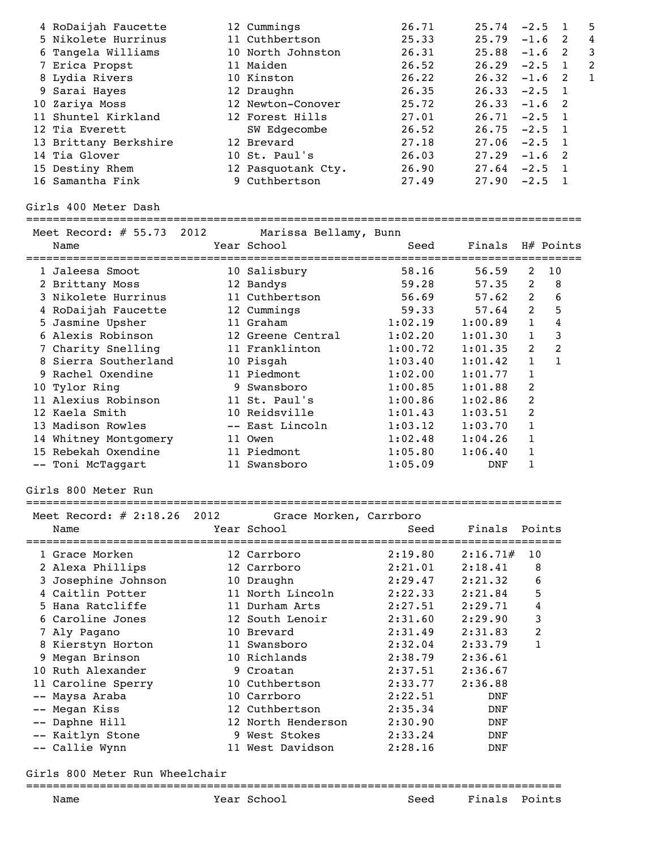| 4 RoDaijah Faucette   | 12 Cummings        | 26.71 | 25.74           | $-2.5$   |                | 5  |
|-----------------------|--------------------|-------|-----------------|----------|----------------|----|
| 5 Nikolete Hurrinus   | 11 Cuthbertson     | 25.33 | $25.79 - 1.6$ 2 |          |                | 4  |
| 6 Tangela Williams    | 10 North Johnston  | 26.31 | 25.88           | $-1.6$ 2 |                | 3  |
| 7 Erica Propst        | 11 Maiden          | 26.52 | $26.29 -2.5$ 1  |          |                | -2 |
| 8 Lydia Rivers        | 10 Kinston         | 26.22 | $26.32 -1.6$ 2  |          |                |    |
| 9 Sarai Hayes         | 12 Draughn         | 26.35 | $26.33 -2.5$ 1  |          |                |    |
| 10 Zariya Moss        | 12 Newton-Conover  | 25.72 | $26.33 -1.6$ 2  |          |                |    |
| 11 Shuntel Kirkland   | 12 Forest Hills    | 27.01 | $26.71 - 2.5$ 1 |          |                |    |
| 12 Tia Everett        | SW Edgecombe       | 26.52 | $26.75 -2.5 1$  |          |                |    |
| 13 Brittany Berkshire | 12 Brevard         | 27.18 | $27.06 -2.5$ 1  |          |                |    |
| 14 Tia Glover         | 10 St. Paul's      | 26.03 | 27.29           | $-1.6$ 2 |                |    |
| 15 Destiny Rhem       | 12 Pasquotank Cty. | 26.90 | 27.64           | $-2.5$ 1 |                |    |
| 16 Samantha Fink      | 9 Cuthbertson      | 27.49 | 27.90           | $-2.5$   | $\overline{1}$ |    |

### Girls 400 Meter Dash

# ===================================================================================

| Meet Record: $# 55.73 2012$ | Marissa Bellamy, Bunn |         |                  |               |    |
|-----------------------------|-----------------------|---------|------------------|---------------|----|
| Name                        | Year School           | Seed    | Finals H# Points |               |    |
| 1 Jaleesa Smoot             | 10 Salisbury          | 58.16   | 56.59            | $\mathcal{L}$ | 10 |
| 2 Brittany Moss             | 12 Bandys             | 59.28   | 57.35            | 2             | 8  |
| 3 Nikolete Hurrinus         | 11 Cuthbertson        | 56.69   | 57.62            | 2             | 6  |
| 4 RoDaijah Faucette         | 12 Cummings           | 59.33   | 57.64            | 2             | 5  |
| 5 Jasmine Upsher            | 11 Graham             | 1:02.19 | 1:00.89          | $\mathbf{1}$  | 4  |
| 6 Alexis Robinson           | 12 Greene Central     | 1:02.20 | 1:01.30          | $\mathbf{1}$  | 3  |
| 7 Charity Snelling          | 11 Franklinton        | 1:00.72 | 1:01.35          | 2             | 2  |
| 8 Sierra Southerland        | 10 Pisgah             | 1:03.40 | 1:01.42          | 1             |    |
| 9 Rachel Oxendine           | 11 Piedmont           | 1:02.00 | 1:01.77          | 1             |    |
| 10 Tylor Ring               | 9 Swansboro           | 1:00.85 | 1:01.88          | 2             |    |
| 11 Alexius Robinson         | 11 St. Paul's         | 1:00.86 | 1:02.86          | 2             |    |
| 12 Kaela Smith              | 10 Reidsville         | 1:01.43 | 1:03.51          | 2             |    |
| 13 Madison Rowles           | -- East Lincoln       | 1:03.12 | 1:03.70          | $\mathbf{1}$  |    |
| 14 Whitney Montgomery       | 11 Owen               | 1:02.48 | 1:04.26          | 1             |    |
| 15 Rebekah Oxendine         | 11 Piedmont           | 1:05.80 | 1:06.40          | $\mathbf{1}$  |    |
| -- Toni McTaqqart           | 11 Swansboro          | 1:05.09 | DNF              |               |    |

## Girls 800 Meter Run

#### ================================================================================

| Meet Record: $\#$ 2:18.26 2012<br>Name | Grace Morken, Carrboro<br>Year School | Seed    | Finals Points |    |
|----------------------------------------|---------------------------------------|---------|---------------|----|
| 1 Grace Morken                         |                                       | 2:19.80 | 2:16.71#      | 10 |
|                                        | 12 Carrboro                           |         |               |    |
| 2 Alexa Phillips                       | 12 Carrboro                           | 2:21.01 | 2:18.41       | 8  |
| 3 Josephine Johnson                    | 10 Draughn                            | 2:29.47 | 2:21.32       | 6  |
| 4 Caitlin Potter                       | 11 North Lincoln                      | 2:22.33 | 2:21.84       | 5  |
| 5 Hana Ratcliffe                       | 11 Durham Arts                        | 2:27.51 | 2:29.71       | 4  |
| 6 Caroline Jones                       | 12 South Lenoir                       | 2:31.60 | 2:29.90       | 3  |
| 7 Aly Pagano                           | 10 Brevard                            | 2:31.49 | 2:31.83       | 2  |
| 8 Kierstyn Horton                      | 11 Swansboro                          | 2:32.04 | 2:33.79       | 1  |
| 9 Megan Brinson                        | 10 Richlands                          | 2:38.79 | 2:36.61       |    |
| 10 Ruth Alexander                      | 9 Croatan                             | 2:37.51 | 2:36.67       |    |
| 11 Caroline Sperry                     | 10 Cuthbertson                        | 2:33.77 | 2:36.88       |    |
| -- Maysa Araba                         | 10 Carrboro                           | 2:22.51 | DNF           |    |
| -- Megan Kiss                          | 12 Cuthbertson                        | 2:35.34 | DNF           |    |
| -- Daphne Hill                         | 12 North Henderson                    | 2:30.90 | DNF           |    |
| -- Kaitlyn Stone                       | 9 West Stokes                         | 2:33.24 | DNF           |    |
| -- Callie Wynn                         | 11 West Davidson                      | 2:28.16 | DNF           |    |

================================================================================

# Girls 800 Meter Run Wheelchair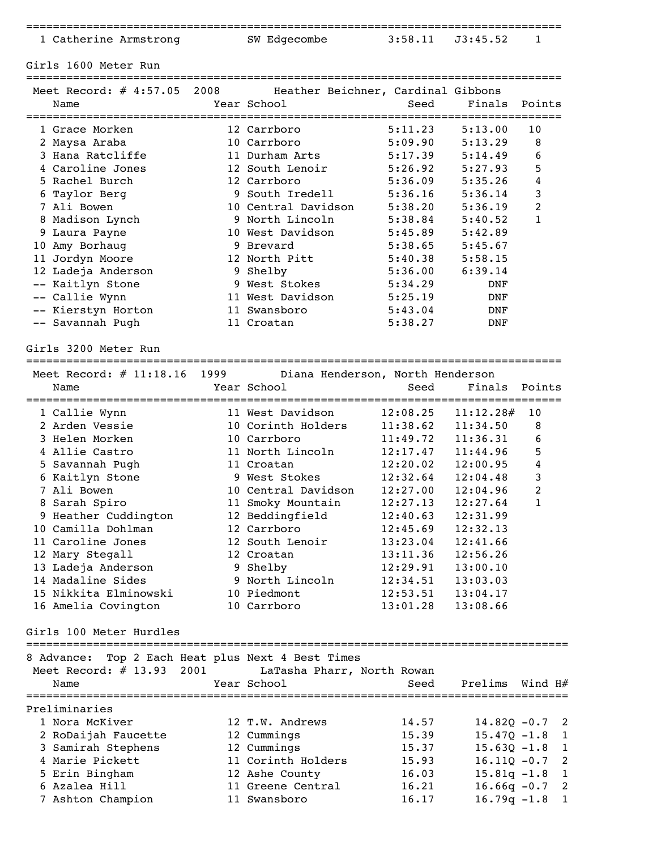| ms | ΠЯ |  |  |
|----|----|--|--|

Girls 1600 Meter Run

| Name               | Meet Record: # 4:57.05 2008 Heather Beichner, Cardinal Gibbons<br>Year School<br>============================== | Seed    | Finals Points | ========     |
|--------------------|-----------------------------------------------------------------------------------------------------------------|---------|---------------|--------------|
| 1 Grace Morken     | 12 Carrboro                                                                                                     | 5:11.23 | 5:13.00       | 10           |
| 2 Maysa Araba      | 10 Carrboro                                                                                                     | 5:09.90 | 5:13.29       | 8            |
| 3 Hana Ratcliffe   | 11 Durham Arts                                                                                                  | 5:17.39 | 5:14.49       | 6            |
| 4 Caroline Jones   | 12 South Lenoir                                                                                                 | 5:26.92 | 5:27.93       | 5            |
| 5 Rachel Burch     | 12 Carrboro                                                                                                     | 5:36.09 | 5:35.26       | 4            |
| 6 Taylor Berg      | 9 South Iredell                                                                                                 | 5:36.16 | 5:36.14       | 3            |
| 7 Ali Bowen        | 10 Central Davidson                                                                                             | 5:38.20 | 5:36.19       | 2            |
| 8 Madison Lynch    | 9 North Lincoln                                                                                                 | 5:38.84 | 5:40.52       | $\mathbf{1}$ |
| 9 Laura Payne      | 10 West Davidson                                                                                                | 5:45.89 | 5:42.89       |              |
| 10 Amy Borhaug     | 9 Brevard                                                                                                       | 5:38.65 | 5:45.67       |              |
| 11 Jordyn Moore    | 12 North Pitt                                                                                                   | 5:40.38 | 5:58.15       |              |
| 12 Ladeja Anderson | 9 Shelby                                                                                                        | 5:36.00 | 6:39.14       |              |
| -- Kaitlyn Stone   | 9 West Stokes                                                                                                   | 5:34.29 | DNF           |              |
| -- Callie Wynn     | 11 West Davidson                                                                                                | 5:25.19 | <b>DNF</b>    |              |
| -- Kierstyn Horton | 11 Swansboro                                                                                                    | 5:43.04 | DNF           |              |
| -- Savannah Pugh   | 11 Croatan                                                                                                      | 5:38.27 | <b>DNF</b>    |              |

Girls 3200 Meter Run

================================================================================

| Meet Record: $#$ 11:18.16 | 1999 | Diana Henderson, North Henderson |          |           |                |  |
|---------------------------|------|----------------------------------|----------|-----------|----------------|--|
| Name                      |      | Year School                      | Seed     | Finals    | Points         |  |
| 1 Callie Wynn             |      | 11 West Davidson                 | 12:08.25 | 11:12.28# | 10             |  |
| 2 Arden Vessie            |      | 10 Corinth Holders               | 11:38.62 | 11:34.50  | 8              |  |
| 3 Helen Morken            |      | 10 Carrboro                      | 11:49.72 | 11:36.31  | 6              |  |
| 4 Allie Castro            |      | 11 North Lincoln                 | 12:17.47 | 11:44.96  | 5              |  |
| 5 Savannah Pugh           |      | 11 Croatan                       | 12:20.02 | 12:00.95  | 4              |  |
| 6 Kaitlyn Stone           |      | 9 West Stokes                    | 12:32.64 | 12:04.48  | 3              |  |
| 7 Ali Bowen               |      | 10 Central Davidson              | 12:27.00 | 12:04.96  | $\overline{2}$ |  |
| 8 Sarah Spiro             |      | 11 Smoky Mountain                | 12:27.13 | 12:27.64  | $\mathbf{1}$   |  |
| 9 Heather Cuddington      |      | 12 Beddingfield                  | 12:40.63 | 12:31.99  |                |  |
| 10 Camilla Dohlman        |      | 12 Carrboro                      | 12:45.69 | 12:32.13  |                |  |
| 11 Caroline Jones         |      | 12 South Lenoir                  | 13:23.04 | 12:41.66  |                |  |
| 12 Mary Stegall           |      | 12 Croatan                       | 13:11.36 | 12:56.26  |                |  |
| 13 Ladeja Anderson        |      | 9 Shelby                         | 12:29.91 | 13:00.10  |                |  |
| 14 Madaline Sides         |      | 9 North Lincoln                  | 12:34.51 | 13:03.03  |                |  |
| 15 Nikkita Elminowski     |      | 10 Piedmont                      | 12:53.51 | 13:04.17  |                |  |
| 16 Amelia Covington       |      | 10 Carrboro                      | 13:01.28 | 13:08.66  |                |  |
|                           |      |                                  |          |           |                |  |

#### Girls 100 Meter Hurdles

================================================================================= 8 Advance: Top 2 Each Heat plus Next 4 Best Times Meet Record: # 13.93 2001 LaTasha Pharr, North Rowan Name  $Year School$  School Seed Prelims Wind H# ================================================================================= Preliminaries 1 Nora McKiver 12 T.W. Andrews 14.57 14.82Q -0.7 2 2 RoDaijah Faucette 12 Cummings 15.39 15.47Q -1.8 1 3 Samirah Stephens 12 Cummings 15.37 15.63Q -1.8 1 4 Marie Pickett 11 Corinth Holders 15.93 16.11Q -0.7 2 5 Erin Bingham 12 Ashe County 16.03 15.81q -1.8 1 6 Azalea Hill 11 Greene Central 16.21 16.66q -0.7 2 7 Ashton Champion 11 Swansboro 16.17 16.79q -1.8 1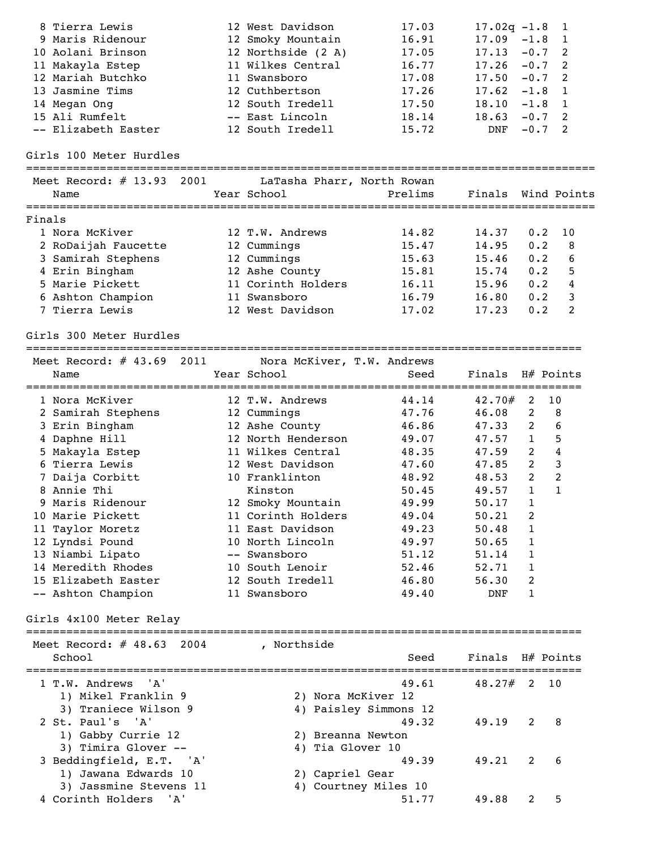|        | 8 Tierra Lewis               | 12 West Davidson           | 17.03                 | $17.02q -1.8$    |                | $\overline{1}$     |
|--------|------------------------------|----------------------------|-----------------------|------------------|----------------|--------------------|
|        | 9 Maris Ridenour             | 12 Smoky Mountain          | 16.91                 | 17.09            | $-1.8$         | 1                  |
|        | 10 Aolani Brinson            | 12 Northside (2 A)         | 17.05                 | 17.13            | $-0.7$         | 2                  |
|        | 11 Makayla Estep             | 11 Wilkes Central          | 16.77                 | 17.26            | $-0.7$         | 2                  |
|        | 12 Mariah Butchko            | 11 Swansboro               | 17.08                 | 17.50            | $-0.7$         | 2                  |
|        | 13 Jasmine Tims              | 12 Cuthbertson             | 17.26                 | 17.62            | $-1.8$         | $\overline{1}$     |
|        | 14 Megan Ong                 | 12 South Iredell           | 17.50                 | 18.10            | $-1.8$         | $\overline{1}$     |
|        | 15 Ali Rumfelt               | -- East Lincoln            | 18.14                 | 18.63            | $-0.7$         | 2                  |
|        | -- Elizabeth Easter          | 12 South Iredell           | 15.72                 | DNF              | $-0.7$         | 2                  |
|        | Girls 100 Meter Hurdles      |                            |                       |                  |                |                    |
|        | Meet Record: $\#$ 13.93 2001 | LaTasha Pharr, North Rowan |                       |                  |                |                    |
|        | Name                         | Year School                | Prelims               |                  |                | Finals Wind Points |
|        |                              |                            |                       |                  |                |                    |
| Finals |                              |                            |                       |                  |                |                    |
|        | 1 Nora McKiver               | 12 T.W. Andrews            | 14.82                 | 14.37            | 0.2            | 10                 |
|        | 2 RoDaijah Faucette          | 12 Cummings                | 15.47                 | 14.95            | 0.2            | 8                  |
|        | 3 Samirah Stephens           | 12 Cummings                | 15.63                 | 15.46            | 0.2            | 6                  |
|        | 4 Erin Bingham               | 12 Ashe County             | 15.81                 | 15.74            | 0.2            | 5                  |
|        | 5 Marie Pickett              | 11 Corinth Holders         | 16.11                 | 15.96            | 0.2            | 4                  |
|        | 6 Ashton Champion            | 11 Swansboro               | 16.79                 | 16.80            | 0.2            | 3                  |
|        | 7 Tierra Lewis               | 12 West Davidson           | 17.02                 | 17.23            | 0.2            | 2                  |
|        | Girls 300 Meter Hurdles      |                            |                       |                  |                |                    |
|        | Meet Record: $\#$ 43.69 2011 | Nora McKiver, T.W. Andrews |                       |                  |                |                    |
|        | Name                         | Year School                | Seed                  | Finals H# Points |                |                    |
|        |                              |                            |                       |                  |                |                    |
|        | 1 Nora McKiver               | 12 T.W. Andrews            | 44.14                 | $42.70#$ 2       |                | 10                 |
|        | 2 Samirah Stephens           | 12 Cummings                | 47.76                 | 46.08            | $\overline{2}$ | 8                  |
|        | 3 Erin Bingham               | 12 Ashe County             | 46.86                 | 47.33            | $\overline{2}$ | 6                  |
|        | 4 Daphne Hill                | 12 North Henderson         | 49.07                 | 47.57            | $\mathbf{1}$   | 5                  |
|        | 5 Makayla Estep              | 11 Wilkes Central          | 48.35                 | 47.59            | $\overline{2}$ | $\overline{4}$     |
|        | 6 Tierra Lewis               | 12 West Davidson           | 47.60                 | 47.85            | 2              | 3                  |
|        | 7 Daija Corbitt              | 10 Franklinton             | 48.92                 | 48.53            | $\overline{2}$ | $\overline{2}$     |
|        | 8 Annie Thi                  | Kinston                    | 50.45                 | 49.57            | $\mathbf{1}$   | $\mathbf{1}$       |
|        | 9 Maris Ridenour             | 12 Smoky Mountain          | 49.99                 | $50.17$ 1        |                |                    |
|        | 10 Marie Pickett             | 11 Corinth Holders         | 49.04                 | 50.21            | 2              |                    |
|        | 11 Taylor Moretz             | 11 East Davidson           | 49.23                 | 50.48            | 1              |                    |
|        | 12 Lyndsi Pound              | 10 North Lincoln           | 49.97                 | 50.65            | 1              |                    |
|        | 13 Niambi Lipato             | -- Swansboro               | 51.12                 | 51.14            | 1              |                    |
|        | 14 Meredith Rhodes           | 10 South Lenoir            | 52.46                 | 52.71            | 1              |                    |
|        | 15 Elizabeth Easter          | 12 South Iredell           | 46.80                 | 56.30            | 2              |                    |
|        | -- Ashton Champion           | 11 Swansboro               | 49.40                 | DNF              | 1              |                    |
|        | Girls 4x100 Meter Relay      |                            |                       |                  |                |                    |
|        |                              |                            |                       |                  |                |                    |
|        | Meet Record: $\#$ 48.63 2004 | , Northside                |                       |                  |                |                    |
|        | School                       |                            | Seed                  | Finals H# Points |                |                    |
|        | 1 T.W. Andrews<br>'' A '     |                            | 49.61                 | $48.27#$ 2 10    |                |                    |
|        | 1) Mikel Franklin 9          | 2) Nora McKiver 12         |                       |                  |                |                    |
|        | 3) Traniece Wilson 9         |                            | 4) Paisley Simmons 12 |                  |                |                    |
|        | 2 St. Paul's 'A'             |                            | 49.32                 | 49.19            | 2              | 8                  |
|        | 1) Gabby Currie 12           | 2) Breanna Newton          |                       |                  |                |                    |
|        | 3) Timira Glover --          | 4) Tia Glover 10           |                       |                  |                |                    |
|        |                              |                            | 49.39                 | 49.21            | 2              | 6                  |
|        | 3 Beddingfield, E.T. 'A'     |                            |                       |                  |                |                    |
|        | 1) Jawana Edwards 10         | 2) Capriel Gear            |                       |                  |                |                    |
|        | 3) Jassmine Stevens 11       |                            | 4) Courtney Miles 10  |                  |                |                    |
|        | 4 Corinth Holders<br>'A'     |                            | 51.77                 | 49.88            | 2              | 5                  |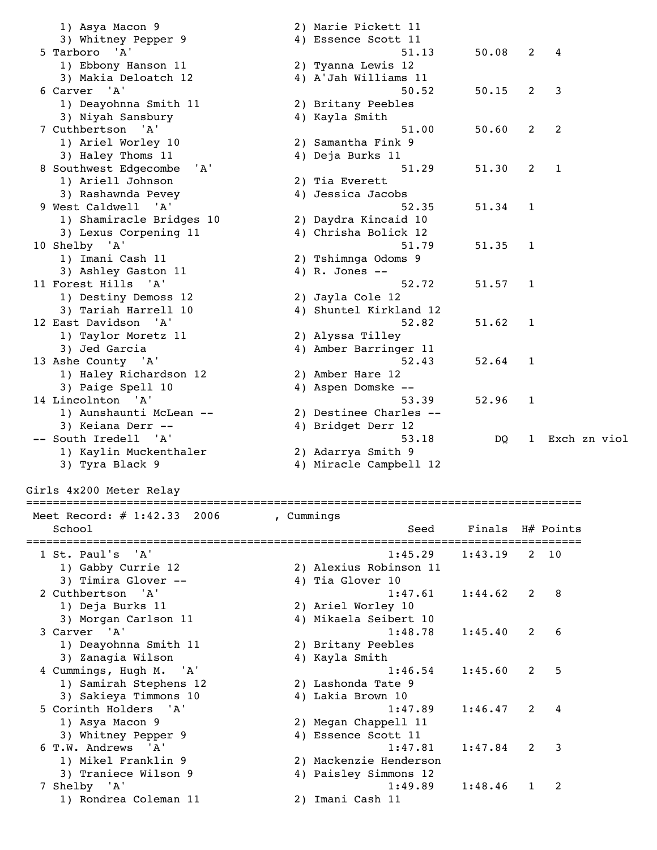1) Asya Macon 9 2) Marie Pickett 11 3) Whitney Pepper 9 4) Essence Scott 11 5 Tarboro 'A' 51.13 50.08 2 4 1) Ebbony Hanson 11 2) Tyanna Lewis 12 3) Makia Deloatch 12 4) A'Jah Williams 11 6 Carver 'A' 50.52 50.15 2 3<br>1) Deayohnna Smith 11 2) Britany Peebles 2) Britany Peebles<br>4) Kayla Smith 3) Niyah Sansbury 4) Kayla Smith<br>
7 Cuthbertson 'A' 51.00 50.60 2<br>
1) Ariel Worlow 10 7 Cuthbertson 'A' 51.00 50.60 2 2 1) Ariel Worley 10 2) Samantha Fink 9 3) Haley Thoms 11 4) Deja Burks 11 8 Southwest Edgecombe 'A' 51.29 51.30 2 1 1) Ariell Johnson 2) Tia Everett 3) Rashawnda Pevey 4) Jessica Jacobs 9 West Caldwell 'A' 52.35 51.34 1 1) Shamiracle Bridges 10 2) Daydra Kincaid 10 3) Lexus Corpening 11 4) Chrisha Bolick 12 10 Shelby 'A' 51.79 51.35 1 1) Imani Cash 11 2) Tshimnga Odoms 9 3) Ashley Gaston 11 (4) R. Jones -- 11 Forest Hills 'A' 52.72 51.57 1 1) Destiny Demoss 12 2) Jayla Cole 12 3) Tariah Harrell 10 4) Shuntel Kirkland 12 12 East Davidson 'A' 52.82 51.62 1 1) Taylor Moretz 11 2) Alyssa Tilley 3) Jed Garcia 4) Amber Barringer 11 13 Ashe County 'A' 52.43 52.64 1 1) Haley Richardson 12 2) Amber Hare 12 3) Paige Spell 10 4) Aspen Domske -- 14 Lincolnton 'A' 53.39 52.96 1 1) Aunshaunti McLean -- 2) Destinee Charles -- 3) Keiana Derr -- 4) Bridget Derr 12 -- South Iredell 'A' 53.18 DQ 1 Exch zn viol 1) Kaylin Muckenthaler 2) Adarrya Smith 9 3) Tyra Black 9 4) Miracle Campbell 12

Girls 4x200 Meter Relay

| UIIID TAZUU NCCCI KCIU,        |                                                                |
|--------------------------------|----------------------------------------------------------------|
| Meet Record: $\#$ 1:42.33 2006 | , Cummings                                                     |
| School                         | Finals H# Points<br>Seed                                       |
| 1 St. Paul's 'A'               | 1:45.29<br>1:43.19<br>10<br>2                                  |
| 1) Gabby Currie 12             | 2) Alexius Robinson 11                                         |
| 3) Timira Glover --            | 4) Tia Glover 10                                               |
| 2 Cuthbertson 'A'              | 1:44.62<br>2<br>-8<br>1:47.61                                  |
| 1) Deja Burks 11               | 2) Ariel Worley 10                                             |
| 3) Morgan Carlson 11           | 4) Mikaela Seibert 10                                          |
| 3 Carver 'A'                   | 1:48.78<br>1:45.40<br>- 6<br>2                                 |
| 1) Deayohnna Smith 11          | 2) Britany Peebles                                             |
| 3) Zanagia Wilson              | 4) Kayla Smith                                                 |
| 4 Cummings, Hugh M. 'A'        | -5<br>1:46.54<br>1:45.60<br>$\mathcal{P}$                      |
| 1) Samirah Stephens 12         | 2) Lashonda Tate 9                                             |
| 3) Sakieya Timmons 10          | 4) Lakia Brown 10                                              |
| 5 Corinth Holders 'A'          | 1:46.47<br>$\overline{2}$<br>1:47.89<br>4                      |
| 1) Asya Macon 9                | 2) Megan Chappell 11                                           |
| 3) Whitney Pepper 9            | 4) Essence Scott 11                                            |
| 6 T.W. Andrews 'A'             | $\overline{\mathbf{3}}$<br>1:47.81<br>1:47.84<br>$\mathcal{P}$ |
| 1) Mikel Franklin 9            | 2) Mackenzie Henderson                                         |
| 3) Traniece Wilson 9           | 4) Paisley Simmons 12                                          |
| 7 Shelby 'A'                   | 1:49.89<br>1:48.46<br>$\mathfrak{D}$<br>1                      |
| 1) Rondrea Coleman 11          | 2) Imani Cash 11                                               |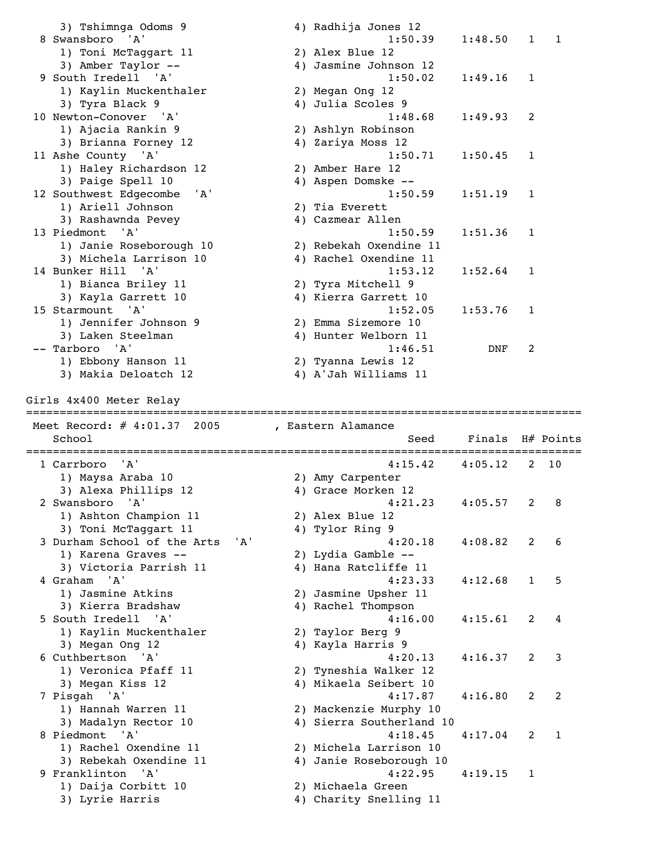3) Tshimnga Odoms 9 4) Radhija Jones 12 8 Swansboro 'A' 1:50.39 1:48.50 1 1 1) Toni McTaggart 11 2) Alex Blue 12 3) Amber Taylor -- 4) Jasmine Johnson 12<br>
3) Amber Taylor -- 4) Jasmine Johnson 12<br>
1:50.02 1:49.16 1 9 South Iredell 'A' 1:50.02 1:49.16 1 1) Kaylin Muckenthaler 2) Megan Ong 12 3) Tyra Black 9 4) Julia Scoles 9 10 Newton-Conover 'A' 1:48.68 1:49.93 2 1) Ajacia Rankin 9 2) Ashlyn Robinson 3) Brianna Forney 12 4) Zariya Moss 12 11 Ashe County 'A' 1:50.71 1:50.45 1 1) Haley Richardson 12 1) Haley Richardson 12 (2) Amber Hare 12<br>3) Paige Spell 10 (4) Aspen Domske --<br>Couthwest Edgecombe 'A' (1:50.59 (1:51.19 ) 12 Southwest Edgecombe 'A' 1:50<br>1) Ariell Johnson 2) Tia Everett<br>3) Rashawnda Pevey 4) Cazmear Allen 1) Ariell Johnson 3) Rashawnda Pevey (and the Marian Marian Allen (3) Rashawnda Pevey (4) Cazmear Allen (3)  $1:50.59$  (3)  $1:51.36$  (1)  $1:51.36$  (1)  $1:51.36$  (1)  $1:51.36$  (1)  $1:51.36$  (1)  $1:51.36$  (1)  $1:51.36$  (1)  $1:51.36$  (1)  $1:51.$  13 Piedmont 'A' 1:50.59 1:51.36 1 1) Janie Roseborough 10 2) Rebekah Oxendine 11 3) Michela Larrison 10 4) Rachel Oxendine 11 14 Bunker Hill 'A' 1:53.12 1:52.64 1 1) Bianca Briley 11 2) Tyra Mitchell 9 3) Kayla Garrett 10 4) Kierra Garrett 10 15 Starmount 'A' 1:52.05 1:53.76 1 1) Jennifer Johnson 9 2) Emma Sizemore 10 3) Laken Steelman 4) Hunter Welborn 11 -- Tarboro 'A' 1:46.51 DNF 2 1) Ebbony Hanson 11 2) Tyanna Lewis 12 3) Makia Deloatch 12 4) A'Jah Williams 11 Girls 4x400 Meter Relay =================================================================================== Meet Record: # 4:01.37 2005 , Eastern Alamance School Seed Finals H# Points =================================================================================== 4:15.42 4:05.12 2 10<br>2) Amy Carpenter<br>4) Grace Morken 12 1) Maysa Araba 10 2) Amy Carpenter 3) Alexa Phillips 12 (4) Grace Morken 12 2 Swansboro 'A' 4:21.23 4:05.57 2 8 1) Ashton Champion 11 2) Alex Blue 12 3) Toni McTaggart 11 and 4) Tylor Ring 9 3 Durham School of the Arts 'A' 4:20.18 4:08.82 2 6<br>1) Karena Graves -- 2) Lydia Gamble --<br>3) Victoria Parrish 11 4) Hana Ratcliffe 11 1) Karena Graves --3) Victoria Parrish 11 4 Graham 'A' 4:23.33 4:12.68 1 5 1) Jasmine Atkins 2) Jasmine Upsher 11 3) Kierra Bradshaw 4) Rachel Thompson 5 South Iredell 'A' 4:16.00 4:15.61 2 4 1) Kaylin Muckenthaler 2) Taylor Berg 9 3) Megan Ong 12 4) Kayla Harris 9 6 Cuthbertson 'A' 4:20.13 4:16.37 2 3 1) Veronica Pfaff 11 2) Tyneshia Walker 12 3) Megan Kiss 12 4) Mikaela Seibert 10 7 Pisgah 'A' 4:17.87 4:16.80 2 2 1) Hannah Warren 11 2) Mackenzie Murphy 10 3) Madalyn Rector 10 4) Sierra Southerland 10 8 Piedmont 'A' 4:18.45 4:17.04 2 1<br>1) Rachel Oxendine 11 2) Michela Larrison 10<br>3) Rebekah Oxendine 11 4) Janie Roseborough 10 1) Rachel Oxendine 11 2) Michela Larrison 10 3) Rebekah Oxendine 11 4) Janie Roseborough 10 9 Franklinton 'A' 4:22.95 4:19.15 1 1) Daija Corbitt 10 2) Michaela Green 3) Lyrie Harris 4) Charity Snelling 11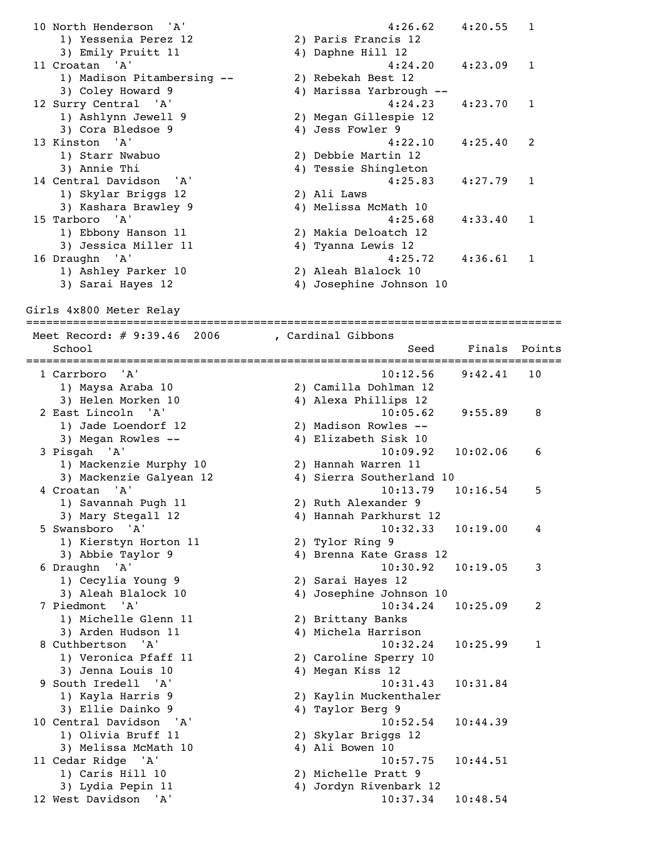10 North Henderson 'A' 4:26.62 4:20.55 1 1) Yessenia Perez 12 2) Paris Francis 12 3) Emily Pruitt 11 4) Daphne Hill 12 11 Croatan 'A' 4:24.20 4:23.09 1 1) Madison Pitambersing -- 2) Rebekah Best 12 3) Coley Howard 9 4) Marissa Yarbrough -- 12 Surry Central 'A' 4:24.23 4:23.70 1 1) Ashlynn Jewell 9 2) Megan Gillespie 12 3) Ashlynn Jewell 9<br>3) Cora Bledsoe 9<br>Tinster 111 13 Kinston 'A' 4:22.10 4:25.40 2<br>
13 Kinston 'A' 4:22.10 4:25.40 2<br>
2) Debbie Martin 12 1) Starr Nwabuo 2) Debbie Martin 12 3) Annie Thi 4) Tessie Shingleton 3) Annie Thi<br>14 Central Davidson 'A' 4:25.83 4:27.79 1 1) Skylar Briggs 12<br>3) Kashara Brawley 9 2) Ali Laws<br>4) Melissa McMath 10 3) Nashara Brawley 3<br>15 Tarboro 'A' 4:25.68 4:33.40 1 1) Ebbony Hanson 11 2) Makia Deloatch 12 3) Jessica Miller 11 4) Tyanna Lewis 12 16 Draughn 'A' 4:25.72 4:36.61 1 1) Ashley Parker 10 2) Aleah Blalock 10 3) Sarai Hayes 12 4) Josephine Johnson 10

Girls 4x800 Meter Relay

================================================================================ Meet Record: # 9:39.46 2006 , Cardinal Gibbons School School Seed Finals Points ================================================================================ 1 Carrboro 'A' 10:12.56 9:42.41 10 1) Maysa Araba 10 2) Camilla Dohlman 12 3) Helen Morken 10 4) Alexa Phillips 12 2 East Lincoln 'A' 10:05.62 9:55.89 8 1) Jade Loendorf 12 2) Madison Rowles -- 3) Megan Rowles -- 4) Elizabeth Sisk 10 3 Pisgah 'A' 10:09.92 10:02.06 6 1) Mackenzie Murphy 10<br>3) Mackenzie Galyean 12 . 10.09.92 10<br>3) Hannah Warren 11<br>3) Sierra Southerland 10 4 Croatan 'A' 10:13.79 10:16.54 5 1) Savannah Pugh 11 2) Ruth Alexander 9 3) Mary Stegall 12 4) Hannah Parkhurst 12 5 Swansboro 'A' 10:32.33 10:19.00 4 1) Kierstyn Horton 11 2) Tylor Ring 9 3) Abbie Taylor 9 4) Brenna Kate Grass 12 6 Draughn 'A' 10:30.92 10:19.05 3 1) Cecylia Young 9 2) Sarai Hayes 12 3) Aleah Blalock 10 4) Josephine Johnson 10 7 Piedmont 'A' 10:34.24 10:25.09 2 1) Michelle Glenn 11 2) Brittany Banks 3) Arden Hudson 11 4) Michela Harrison 8 Cuthbertson 'A' 10:32.24 10:25.99 1 1) Veronica Pfaff 11 2) Caroline Sperry 10 3) Jenna Louis 10 4) Megan Kiss 12 9 South Iredell 'A' 10:31.43 10:31.84 1) Kayla Harris 9 2) Kaylin Muckenthaler 3) Ellie Dainko 9 1920 1 4) Taylor Berg 9 10 Central Davidson 'A' 10:52.54 10:44.39 1) Olivia Bruff 11 2) Skylar Briggs 12 3) Melissa McMath 10 (4) Ali Bowen 10 11 Cedar Ridge 'A' 10:57.75 10:44.51 1) Caris Hill 10 2) Michelle Pratt 9 3) Lydia Pepin 11 4) Jordyn Rivenbark 12 12 West Davidson 'A' 10:37.34 10:48.54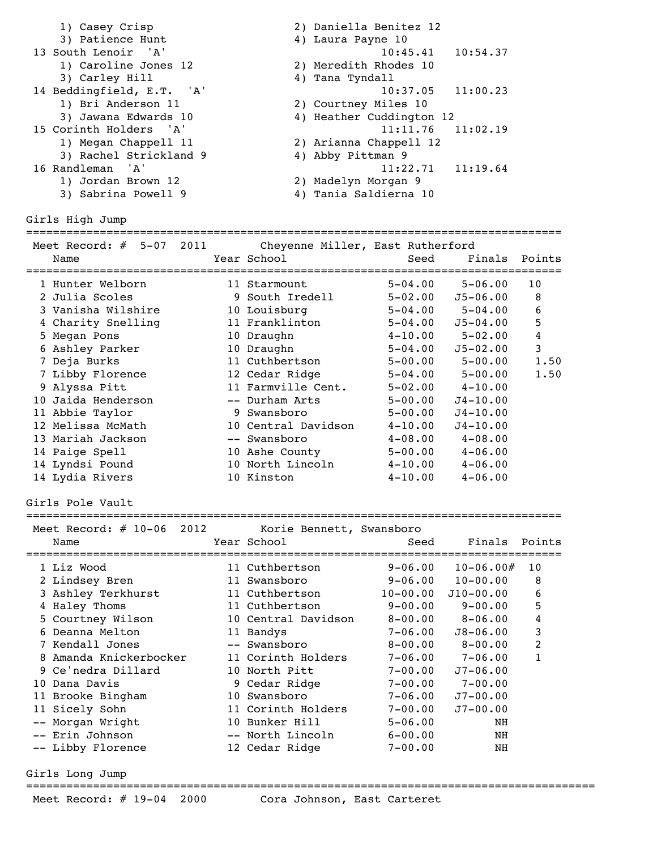| 1) Casey Crisp            | 2) Daniella Benitez 12   |
|---------------------------|--------------------------|
| 3) Patience Hunt          | 4) Laura Payne 10        |
| 13 South Lenoir 'A'       | $10:45.41$ $10:54.37$    |
| 1) Caroline Jones 12      | 2) Meredith Rhodes 10    |
| 3) Carley Hill            | 4) Tana Tyndall          |
| 14 Beddingfield, E.T. 'A' | $10:37.05$ $11:00.23$    |
| 1) Bri Anderson 11        | 2) Courtney Miles 10     |
| 3) Jawana Edwards 10      | 4) Heather Cuddington 12 |
| 15 Corinth Holders 'A'    | $11:11.76$ $11:02.19$    |
| 1) Megan Chappell 11      | 2) Arianna Chappell 12   |
| 3) Rachel Strickland 9    | 4) Abby Pittman 9        |
| 16 Randleman 'A'          | $11:22.71$ $11:19.64$    |
| 1) Jordan Brown 12        | 2) Madelyn Morgan 9      |
| 3) Sabrina Powell 9       | Tania Saldierna 10       |

Girls High Jump

# ================================================================================

| Meet Record:<br>$5 - 07$<br>2011<br># | Cheyenne Miller, East Rutherford |             |              |        |
|---------------------------------------|----------------------------------|-------------|--------------|--------|
| Name                                  | Year School                      | Seed        | Finals       | Points |
| 1 Hunter Welborn                      | 11 Starmount                     | $5 - 04.00$ | $5 - 06.00$  | 10     |
| 2 Julia Scoles                        | 9 South Iredell                  | $5 - 02.00$ | $J5 - 06.00$ | 8      |
| 3 Vanisha Wilshire                    | 10 Louisburg                     | $5 - 04.00$ | $5 - 04.00$  | 6      |
| 4 Charity Snelling                    | 11 Franklinton                   | $5 - 04.00$ | $J5 - 04.00$ | 5      |
| 5 Megan Pons                          | 10 Draughn                       | $4 - 10.00$ | $5 - 02.00$  | 4      |
| 6 Ashley Parker                       | 10 Draughn                       | $5 - 04.00$ | $J5 - 02.00$ | 3      |
| 7 Deja Burks                          | 11 Cuthbertson                   | $5 - 00.00$ | $5 - 00.00$  | 1.50   |
| 7 Libby Florence                      | 12 Cedar Ridge                   | $5 - 04.00$ | $5 - 00.00$  | 1.50   |
| 9 Alyssa Pitt                         | 11 Farmville Cent.               | $5 - 02.00$ | $4 - 10.00$  |        |
| 10 Jaida Henderson                    | -- Durham Arts                   | $5 - 00.00$ | $J4 - 10.00$ |        |
| 11 Abbie Taylor                       | 9 Swansboro                      | $5 - 00.00$ | $J4 - 10.00$ |        |
| 12 Melissa McMath                     | 10 Central Davidson              | $4 - 10.00$ | $J4 - 10.00$ |        |
| 13 Mariah Jackson                     | -- Swansboro                     | $4 - 08.00$ | $4 - 08.00$  |        |
| 14 Paige Spell                        | 10 Ashe County                   | $5 - 00.00$ | $4 - 06.00$  |        |
| 14 Lyndsi Pound                       | 10 North Lincoln                 | $4 - 10.00$ | $4 - 06.00$  |        |
| 14 Lydia Rivers                       | 10 Kinston                       | $4 - 10.00$ | $4 - 06.00$  |        |

Girls Pole Vault

#### ================================================================================

| Meet Record: $\#$ 10-06<br>2012<br>Name | Korie Bennett, Swansboro<br>Year School | Seed         | Finals        | Points |
|-----------------------------------------|-----------------------------------------|--------------|---------------|--------|
| 1 Liz Wood                              | 11 Cuthbertson                          | $9 - 06.00$  | $10 - 06.00#$ | 10     |
| 2 Lindsey Bren                          | 11 Swansboro                            | $9 - 06.00$  | $10 - 00.00$  | 8      |
| 3 Ashley Terkhurst                      | 11 Cuthbertson                          | $10 - 00.00$ | $J10 - 00.00$ | 6      |
| 4 Haley Thoms                           | 11 Cuthbertson                          | $9 - 00.00$  | $9 - 00.00$   | 5      |
| 5 Courtney Wilson                       | 10 Central Davidson                     | $8 - 00.00$  | $8 - 06.00$   | 4      |
| 6 Deanna Melton                         | 11 Bandys                               | $7 - 06.00$  | $J8 - 06.00$  | 3      |
| 7 Kendall Jones                         | -- Swansboro                            | $8 - 00.00$  | $8 - 00.00$   | 2      |
| 8 Amanda Knickerbocker                  | 11 Corinth Holders                      | $7 - 06.00$  | $7 - 06.00$   | 1      |
| 9 Ce'nedra Dillard                      | 10 North Pitt                           | $7 - 00.00$  | $J7 - 06.00$  |        |
| 10 Dana Davis                           | 9 Cedar Ridge                           | $7 - 00.00$  | $7 - 00.00$   |        |
| 11 Brooke Bingham                       | 10 Swansboro                            | $7 - 06.00$  | $J7 - 00.00$  |        |
| 11 Sicely Sohn                          | 11 Corinth Holders                      | $7 - 00.00$  | $J7 - 00.00$  |        |
| -- Morgan Wright                        | 10 Bunker Hill                          | $5 - 06.00$  | NH            |        |
| -- Erin Johnson                         | -- North Lincoln                        | $6 - 00.00$  | NH            |        |
| -- Libby Florence                       | 12 Cedar Ridge                          | $7 - 00.00$  | NH            |        |

Girls Long Jump

=====================================================================================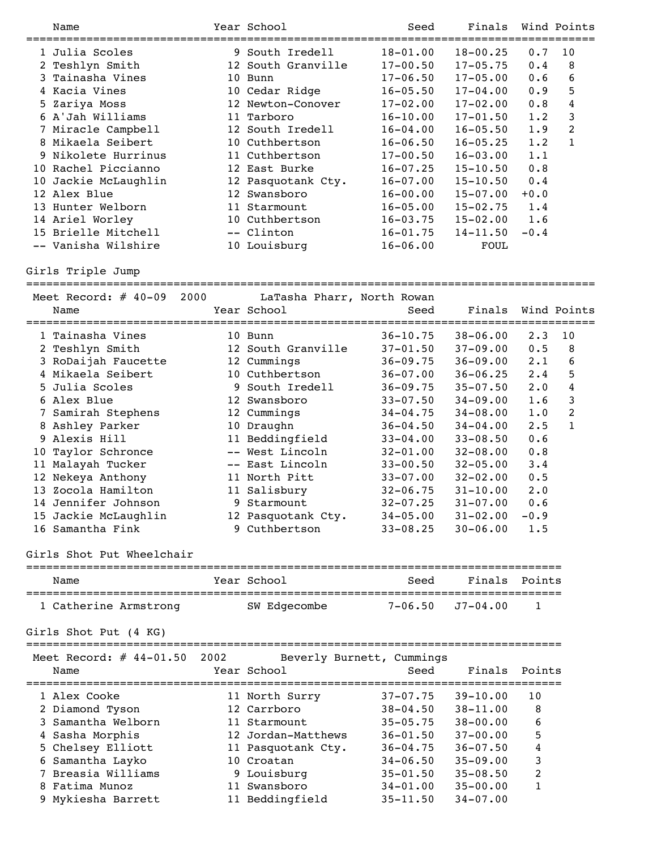| Name                 |    | Year School        | Seed         | Finals       |        | Wind Points |
|----------------------|----|--------------------|--------------|--------------|--------|-------------|
| 1 Julia Scoles       |    | 9 South Iredell    | $18 - 01.00$ | $18 - 00.25$ | 0.7    | 10          |
| 2 Teshlyn Smith      |    | 12 South Granville | $17 - 00.50$ | $17 - 05.75$ | 0.4    | 8           |
| 3 Tainasha Vines     | 10 | Bunn               | $17 - 06.50$ | $17 - 05.00$ | 0.6    | 6           |
| 4 Kacia Vines        |    | 10 Cedar Ridge     | $16 - 05.50$ | $17 - 04.00$ | 0.9    | 5           |
| 5 Zariya Moss        | 12 | Newton-Conover     | $17 - 02.00$ | $17 - 02.00$ | 0.8    | 4           |
| 6 A'Jah Williams     | 11 | Tarboro            | $16 - 10.00$ | $17 - 01.50$ | 1.2    | 3           |
| 7 Miracle Campbell   |    | 12 South Iredell   | $16 - 04.00$ | $16 - 05.50$ | 1.9    | 2           |
| 8 Mikaela Seibert    | 10 | Cuthbertson        | $16 - 06.50$ | $16 - 05.25$ | 1.2    | 1           |
| 9 Nikolete Hurrinus  |    | 11 Cuthbertson     | $17 - 00.50$ | $16 - 03.00$ | 1.1    |             |
| 10 Rachel Piccianno  |    | 12 East Burke      | $16 - 07.25$ | $15 - 10.50$ | 0.8    |             |
| 10 Jackie McLaughlin |    | 12 Pasquotank Cty. | $16 - 07.00$ | $15 - 10.50$ | 0.4    |             |
| 12 Alex Blue         |    | 12 Swansboro       | $16 - 00.00$ | $15 - 07.00$ | $+0.0$ |             |
| 13 Hunter Welborn    |    | 11 Starmount       | $16 - 05.00$ | $15 - 02.75$ | 1.4    |             |
| 14 Ariel Worley      |    | 10 Cuthbertson     | $16 - 03.75$ | $15 - 02.00$ | 1.6    |             |
| 15 Brielle Mitchell  |    | -- Clinton         | $16 - 01.75$ | $14 - 11.50$ | $-0.4$ |             |
| -- Vanisha Wilshire  |    | 10 Louisburg       | $16 - 06.00$ | FOUL         |        |             |
|                      |    |                    |              |              |        |             |

Girls Triple Jump

|   | Meet Record: $\#$ 40-09<br>Name | 2000 | LaTasha Pharr, North Rowan<br>Year School | Seed         | Finals       |             | Wind Points  |
|---|---------------------------------|------|-------------------------------------------|--------------|--------------|-------------|--------------|
|   | 1 Tainasha Vines                |      | 10 Bunn                                   | $36 - 10.75$ | $38 - 06.00$ | $2 \cdot 3$ | 10           |
|   | 2 Teshlyn Smith                 |      | 12 South Granville                        | $37 - 01.50$ | $37 - 09.00$ | 0.5         | 8            |
|   | 3 RoDaijah Faucette             |      | 12 Cummings                               | $36 - 09.75$ | $36 - 09.00$ | 2.1         | 6            |
|   | 4 Mikaela Seibert               |      | 10 Cuthbertson                            | $36 - 07.00$ | $36 - 06.25$ | 2.4         | 5            |
|   | 5 Julia Scoles                  |      | 9 South Iredell                           | $36 - 09.75$ | $35 - 07.50$ | $2 \cdot 0$ | 4            |
|   | 6 Alex Blue                     |      | 12 Swansboro                              | $33 - 07.50$ | $34 - 09.00$ | 1.6         | 3            |
| 7 | Samirah Stephens                |      | 12 Cummings                               | $34 - 04.75$ | $34 - 08.00$ | 1.0         | 2            |
|   | 8 Ashley Parker                 |      | 10 Draughn                                | $36 - 04.50$ | $34 - 04.00$ | 2.5         | $\mathbf{1}$ |
|   | 9 Alexis Hill                   |      | 11 Beddingfield                           | $33 - 04.00$ | $33 - 08.50$ | 0.6         |              |
|   | 10 Taylor Schronce              |      | -- West Lincoln                           | $32 - 01.00$ | $32 - 08.00$ | 0.8         |              |
|   | 11 Malayah Tucker               |      | -- East Lincoln                           | $33 - 00.50$ | $32 - 05.00$ | 3.4         |              |
|   | 12 Nekeya Anthony               |      | 11 North Pitt                             | $33 - 07.00$ | $32 - 02.00$ | 0.5         |              |
|   | 13 Zocola Hamilton              |      | 11 Salisbury                              | $32 - 06.75$ | $31 - 10.00$ | 2.0         |              |
|   | 14 Jennifer Johnson             |      | 9 Starmount                               | $32 - 07.25$ | $31 - 07.00$ | 0.6         |              |
|   | 15 Jackie McLaughlin            |      | 12 Pasquotank Cty.                        | $34 - 05.00$ | $31 - 02.00$ | $-0.9$      |              |
|   | 16 Samantha Fink                |      | 9 Cuthbertson                             | $33 - 08.25$ | $30 - 06.00$ | 1.5         |              |

# Girls Shot Put Wheelchair

| Name                  | Year School  | Seed                     | Finals Points |  |
|-----------------------|--------------|--------------------------|---------------|--|
|                       |              |                          |               |  |
| 1 Catherine Armstrong | SW Edgecombe | $7 - 06.50$ $J7 - 04.00$ |               |  |

# Girls Shot Put (4 KG)

| Name | Meet Record: $\#$ 44-01.50 | 2002 | Year School        | Beverly Burnett, Cummings<br>Seed | Finals       | Points        |
|------|----------------------------|------|--------------------|-----------------------------------|--------------|---------------|
|      | 1 Alex Cooke               |      | 11 North Surry     | $37 - 07.75$                      | $39 - 10.00$ | 10            |
|      | 2 Diamond Tyson            |      | 12 Carrboro        | $38 - 04.50$                      | $38 - 11.00$ | 8             |
|      | 3 Samantha Welborn         |      | 11 Starmount       | $35 - 05.75$                      | $38 - 00.00$ | 6             |
|      | 4 Sasha Morphis            |      | 12 Jordan-Matthews | $36 - 01.50$                      | $37 - 00.00$ | 5             |
|      | 5 Chelsey Elliott          |      | 11 Pasquotank Cty. | $36 - 04.75$                      | $36 - 07.50$ | 4             |
|      | 6 Samantha Layko           |      | 10 Croatan         | $34 - 06.50$                      | $35 - 09.00$ | 3             |
|      | 7 Breasia Williams         |      | 9 Louisburg        | $35 - 01.50$                      | $35 - 08.50$ | $\mathcal{L}$ |
|      | 8 Fatima Munoz             |      | 11 Swansboro       | $34 - 01.00$                      | $35 - 00.00$ | 1             |
|      | 9 Mykiesha Barrett         |      | 11 Beddingfield    | $35 - 11.50$                      | $34 - 07.00$ |               |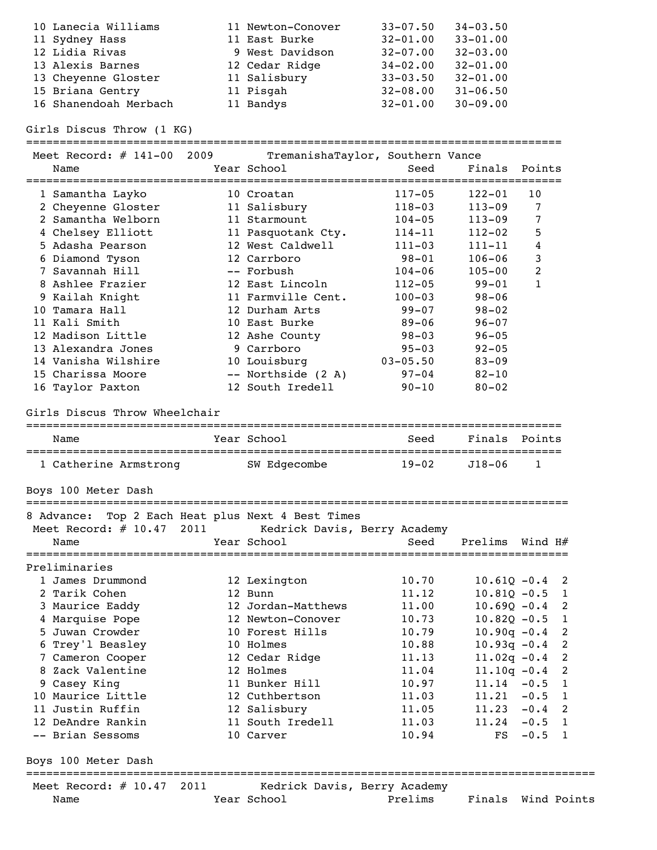| 10 Lanecia Williams   | 11 Newton-Conover | $33 - 07.50$ | $34 - 03.50$ |
|-----------------------|-------------------|--------------|--------------|
| 11 Sydney Hass        | 11 East Burke     | $32 - 01.00$ | $33 - 01.00$ |
| 12 Lidia Rivas        | 9 West Davidson   | $32 - 07.00$ | $32 - 03.00$ |
| 13 Alexis Barnes      | 12 Cedar Ridge    | $34 - 02.00$ | $32 - 01.00$ |
| 13 Cheyenne Gloster   | 11 Salisbury      | $33 - 03.50$ | $32 - 01.00$ |
| 15 Briana Gentry      | 11 Pisgah         | $32 - 08.00$ | $31 - 06.50$ |
| 16 Shanendoah Merbach | 11 Bandys         | $32 - 01.00$ | $30 - 09.00$ |

Girls Discus Throw (1 KG)

| Meet Record: # 141-00 2009<br>Name                             |      | TremanishaTaylor, Southern Vance<br>Year School | Seed<br>============================= | Finals Points    |              |                            |
|----------------------------------------------------------------|------|-------------------------------------------------|---------------------------------------|------------------|--------------|----------------------------|
| 1 Samantha Layko                                               |      | 10 Croatan                                      | $117 - 05$                            | $122 - 01$       | 10           |                            |
| 2 Cheyenne Gloster                                             |      | 11 Salisbury                                    | $118 - 03$                            | $113 - 09$       | 7            |                            |
| 2 Samantha Welborn                                             |      | 11 Starmount                                    | $104 - 05$                            | $113 - 09$       | 7            |                            |
| 4 Chelsey Elliott                                              |      | 11 Pasquotank Cty.                              | $114 - 11$                            | $112 - 02$       | 5            |                            |
| 5 Adasha Pearson                                               |      | 12 West Caldwell                                | $111 - 03$                            | $111 - 11$       | 4            |                            |
| 6 Diamond Tyson                                                |      | 12 Carrboro                                     | $98 - 01$                             | $106 - 06$       | 3            |                            |
| 7 Savannah Hill                                                |      | -- Forbush                                      | $104 - 06$                            | $105 - 00$       | 2            |                            |
| 8 Ashlee Frazier                                               |      | 12 East Lincoln                                 | $112 - 05$                            | $99 - 01$        | $\mathbf{1}$ |                            |
| 9 Kailah Knight                                                |      | 11 Farmville Cent.                              | $100 - 03$                            | $98 - 06$        |              |                            |
| 10 Tamara Hall                                                 |      | 12 Durham Arts                                  | $99 - 07$                             | $98 - 02$        |              |                            |
| 11 Kali Smith                                                  |      | 10 East Burke                                   | $89 - 06$                             | $96 - 07$        |              |                            |
| 12 Madison Little                                              |      | 12 Ashe County                                  | $98 - 03$                             | $96 - 05$        |              |                            |
| 13 Alexandra Jones                                             |      | 9 Carrboro                                      | $95 - 03$                             | $92 - 05$        |              |                            |
| 14 Vanisha Wilshire                                            |      | 10 Louisburg                                    | $03 - 05.50$                          | $83 - 09$        |              |                            |
| 15 Charissa Moore                                              |      | -- Northside (2 A)                              | $97 - 04$                             | $82 - 10$        |              |                            |
| 16 Taylor Paxton                                               |      | 12 South Iredell                                | $90 - 10$                             | $80 - 02$        |              |                            |
| Girls Discus Throw Wheelchair                                  |      |                                                 |                                       |                  |              |                            |
| Name                                                           |      | Year School                                     | Seed                                  | Finals           | Points       |                            |
|                                                                |      |                                                 |                                       |                  |              |                            |
| 1 Catherine Armstrong                                          |      | SW Edgecombe                                    | $19 - 02$                             | $J18 - 06$       | 1            |                            |
| Boys 100 Meter Dash                                            |      |                                                 |                                       |                  |              |                            |
|                                                                |      |                                                 |                                       |                  |              |                            |
| 8 Advance: Top 2 Each Heat plus Next 4 Best Times              |      |                                                 |                                       |                  |              |                            |
| Meet Record: # 10.47 2011 Kedrick Davis, Berry Academy<br>Name |      | Year School                                     | Seed                                  | Prelims Wind H#  |              |                            |
|                                                                |      |                                                 |                                       |                  |              |                            |
| Preliminaries                                                  |      |                                                 |                                       |                  |              |                            |
| 1 James Drummond                                               |      | 12 Lexington                                    | 10.70                                 | $10.61Q - 0.4$ 2 |              |                            |
| 2 Tarik Cohen                                                  |      | 12 Bunn                                         | 11.12                                 | $10.81Q - 0.5$   |              | $\overline{1}$             |
| 3 Maurice Eaddy                                                |      | 12 Jordan-Matthews                              | 11.00                                 | $10.69Q - 0.4$   |              | $\overline{\phantom{0}}^2$ |
| 4 Marquise Pope                                                |      | 12 Newton-Conover                               | 10.73                                 | $10.82Q - 0.5$ 1 |              |                            |
| 5 Juwan Crowder                                                |      | 10 Forest Hills                                 | 10.79                                 | $10.90q - 0.4$   |              | 2                          |
| 6 Trey'l Beasley                                               |      | 10 Holmes                                       | 10.88                                 | $10.93q - 0.4$   |              | 2                          |
| 7 Cameron Cooper                                               |      | 12 Cedar Ridge                                  | 11.13                                 | $11.02q - 0.4$   |              | 2                          |
| 8 Zack Valentine                                               |      | 12 Holmes                                       | 11.04                                 | $11.10q - 0.4$   |              | 2                          |
| 9 Casey King                                                   |      | 11 Bunker Hill                                  | 10.97                                 | 11.14            | $-0.5$       | $\mathbf{1}$               |
| 10 Maurice Little                                              |      | 12 Cuthbertson                                  | 11.03                                 | 11.21            | $-0.5$       | $\mathbf{1}$               |
| 11 Justin Ruffin                                               |      | 12 Salisbury                                    | 11.05                                 | 11.23            | $-0.4$       | $\overline{\phantom{0}}^2$ |
| 12 DeAndre Rankin                                              |      | 11 South Iredell                                | 11.03                                 | 11.24            | $-0.5$       | $\overline{1}$             |
| -- Brian Sessoms                                               |      | 10 Carver                                       | 10.94                                 | FS               | $-0.5$       | $\overline{1}$             |
| Boys 100 Meter Dash                                            |      |                                                 |                                       |                  |              |                            |
| Meet Record: $\#$ 10.47                                        | 2011 | Kedrick Davis, Berry Academy<br>Year School     | Prelims                               | Finals           | Wind Points  |                            |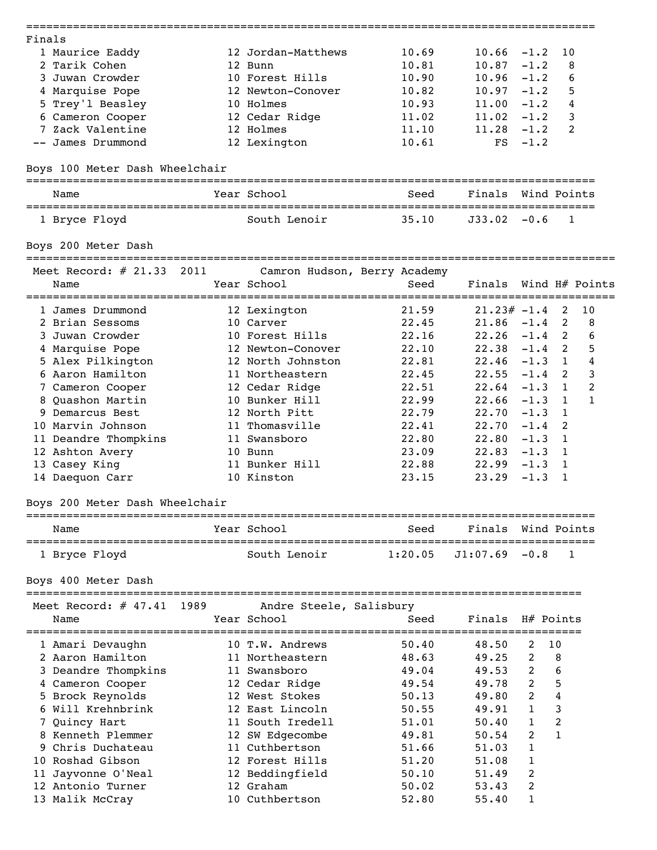| Finals |                                            |      |                         |                              |                  |              |                |                |
|--------|--------------------------------------------|------|-------------------------|------------------------------|------------------|--------------|----------------|----------------|
|        | 1 Maurice Eaddy                            |      | 12 Jordan-Matthews      | 10.69                        | 10.66            | $-1.2$       | 10             |                |
|        | 2 Tarik Cohen                              |      | 12 Bunn                 | 10.81                        | 10.87            | $-1.2$       | 8              |                |
|        | 3 Juwan Crowder                            |      | 10 Forest Hills         | 10.90                        | $10.96 - 1.2$    |              | 6              |                |
|        | 4 Marquise Pope                            |      | 12 Newton-Conover       | 10.82                        | $10.97 - 1.2$    |              | 5              |                |
|        | 5 Trey'l Beasley                           |      | 10 Holmes               | 10.93                        | $11.00 - 1.2$    |              | 4              |                |
|        | 6 Cameron Cooper                           |      | 12 Cedar Ridge          | 11.02                        | $11.02 -1.2$     |              | 3              |                |
|        | 7 Zack Valentine                           |      | 12 Holmes               | 11.10                        | $11.28 - 1.2$    |              | 2              |                |
|        | -- James Drummond                          |      | 12 Lexington            | 10.61                        | FS               | $-1.2$       |                |                |
|        | Boys 100 Meter Dash Wheelchair             |      |                         |                              |                  |              |                |                |
|        | Name                                       |      | Year School             | Seed                         | Finals           |              | Wind Points    |                |
|        | =========================<br>1 Bryce Floyd |      | South Lenoir            | 35.10                        | $J33.02 - 0.6$   |              | 1              |                |
|        | Boys 200 Meter Dash                        |      |                         |                              |                  |              |                |                |
|        | Meet Record: $\#$ 21.33                    | 2011 |                         | Camron Hudson, Berry Academy |                  |              |                |                |
|        | Name                                       |      | Year School             | Seed                         | Finals           |              | Wind H# Points |                |
|        | 1 James Drummond                           |      | 12 Lexington            | 21.59                        | $21.23# -1.4$    |              | 2              | 10             |
|        | 2 Brian Sessoms                            |      | 10 Carver               | 22.45                        | $21.86 - 1.4$    |              | 2              | 8              |
|        | 3 Juwan Crowder                            |      | 10 Forest Hills         | 22.16                        | $22.26 -1.4$     |              | <sup>2</sup>   | 6              |
|        | 4 Marquise Pope                            |      | 12 Newton-Conover       | 22.10                        | $22.38 - 1.4$    |              | <sup>2</sup>   | 5              |
|        | 5 Alex Pilkington                          |      | 12 North Johnston       | 22.81                        | $22.46 - 1.3$    |              | 1              | 4              |
|        | 6 Aaron Hamilton                           |      | 11 Northeastern         | 22.45                        | $22.55 - 1.4$    |              | 2              | 3              |
|        | 7 Cameron Cooper                           |      | 12 Cedar Ridge          | 22.51                        | $22.64 - 1.3$    |              | 1              | $\overline{2}$ |
|        | 8 Quashon Martin                           |      | 10 Bunker Hill          | 22.99                        | $22.66 - 1.3$    |              | 1              | $\mathbf{1}$   |
|        | 9 Demarcus Best                            |      | 12 North Pitt           | 22.79                        | $22.70 - 1.3$    |              | $\mathbf{1}$   |                |
|        | 10 Marvin Johnson                          |      | 11 Thomasville          | 22.41                        | $22.70 -1.4$     |              | 2              |                |
|        |                                            |      | 11 Swansboro            | 22.80                        | $22.80 - 1.3$    |              | 1              |                |
|        | 11 Deandre Thompkins                       |      |                         |                              |                  |              |                |                |
|        | 12 Ashton Avery                            |      | 10 Bunn                 | 23.09                        | $22.83 - 1.3$    |              | 1              |                |
|        | 13 Casey King                              |      | 11 Bunker Hill          | 22.88                        | 22.99            | $-1.3$       | 1              |                |
|        | 14 Daequon Carr                            |      | 10 Kinston              | 23.15                        | 23.29            | $-1.3$       | 1              |                |
|        | Boys 200 Meter Dash Wheelchair             |      |                         |                              |                  |              |                |                |
|        | Name                                       |      | Year School             | Seed                         | Finals           |              | Wind Points    |                |
|        | 1 Bryce Floyd                              |      | South Lenoir            | 1:20.05                      | $J1:07.69 - 0.8$ |              | 1              |                |
|        | Boys 400 Meter Dash                        |      |                         |                              |                  |              |                |                |
|        | Meet Record: $\#$ 47.41                    | 1989 | Andre Steele, Salisbury |                              |                  |              |                |                |
|        | Name                                       |      | Year School             | Seed                         | Finals           |              | H# Points      |                |
|        | 1 Amari Devaughn                           |      | 10 T.W. Andrews         | 50.40                        | 48.50            | 2            | 10             |                |
|        | 2 Aaron Hamilton                           |      | 11 Northeastern         | 48.63                        | 49.25            | 2            | 8              |                |
|        | 3 Deandre Thompkins                        |      | 11 Swansboro            | 49.04                        | 49.53            | 2            | 6              |                |
|        | 4 Cameron Cooper                           |      | 12 Cedar Ridge          | 49.54                        | 49.78            | 2            | 5              |                |
|        | 5 Brock Reynolds                           |      | 12 West Stokes          | 50.13                        | 49.80            | 2            | 4              |                |
|        | 6 Will Krehnbrink                          |      | 12 East Lincoln         | 50.55                        | 49.91            | $\mathbf{1}$ | 3              |                |
|        | 7 Quincy Hart                              |      | 11 South Iredell        | 51.01                        | 50.40            | $\mathbf{1}$ | $\overline{c}$ |                |
|        | 8 Kenneth Plemmer                          |      | 12 SW Edgecombe         | 49.81                        | 50.54            | 2            | $\mathbf{1}$   |                |
|        | 9 Chris Duchateau                          |      | 11 Cuthbertson          | 51.66                        | 51.03            | 1            |                |                |
|        | 10 Roshad Gibson                           |      | 12 Forest Hills         | 51.20                        | 51.08            | 1            |                |                |
|        |                                            |      |                         |                              |                  |              |                |                |
|        | 11 Jayvonne O'Neal                         |      | 12 Beddingfield         | 50.10                        | 51.49            | 2            |                |                |
|        | 12 Antonio Turner                          |      | 12 Graham               | 50.02                        | 53.43            | 2            |                |                |
|        | 13 Malik McCray                            |      | 10 Cuthbertson          | 52.80                        | 55.40            | 1            |                |                |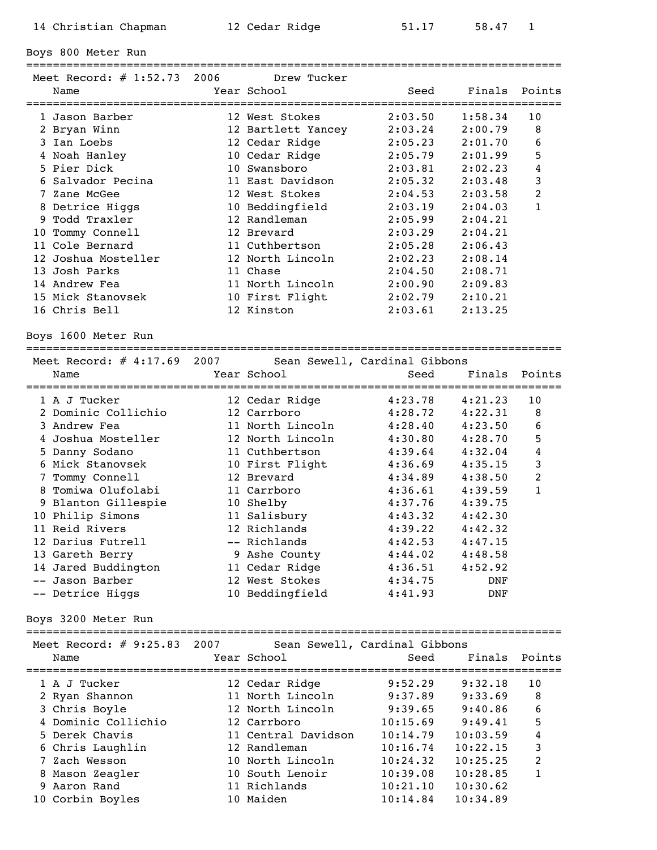Boys 800 Meter Run

================================================================================

| Meet Record: $\#$ 1:52.73 2006    | Drew Tucker        |                                     |         |        |
|-----------------------------------|--------------------|-------------------------------------|---------|--------|
| Name<br>========================= | Year School        | Seed<br>=========================== | Finals  | Points |
| 1 Jason Barber                    | 12 West Stokes     | 2:03.50                             | 1:58.34 | 10     |
| 2 Bryan Winn                      | 12 Bartlett Yancey | 2:03.24                             | 2:00.79 | 8      |
| 3 Ian Loebs                       | 12 Cedar Ridge     | 2:05.23                             | 2:01.70 | 6      |
| 4 Noah Hanley                     | 10 Cedar Ridge     | 2:05.79                             | 2:01.99 | 5      |
| 5 Pier Dick                       | 10 Swansboro       | 2:03.81                             | 2:02.23 | 4      |
| 6 Salvador Pecina                 | 11 East Davidson   | 2:05.32                             | 2:03.48 | 3      |
| 7 Zane McGee                      | 12 West Stokes     | 2:04.53                             | 2:03.58 | 2      |
| 8 Detrice Higgs                   | 10 Beddingfield    | 2:03.19                             | 2:04.03 | 1      |
| 9 Todd Traxler                    | 12 Randleman       | 2:05.99                             | 2:04.21 |        |
| 10 Tommy Connell                  | 12 Brevard         | 2:03.29                             | 2:04.21 |        |
| 11 Cole Bernard                   | 11 Cuthbertson     | 2:05.28                             | 2:06.43 |        |
| 12 Joshua Mosteller               | 12 North Lincoln   | 2:02.23                             | 2:08.14 |        |
| 13 Josh Parks                     | 11 Chase           | 2:04.50                             | 2:08.71 |        |
| 14 Andrew Fea                     | 11 North Lincoln   | 2:00.90                             | 2:09.83 |        |
| 15 Mick Stanovsek                 | 10 First Flight    | 2:02.79                             | 2:10.21 |        |
| 16 Chris Bell                     | 12 Kinston         | 2:03.61                             | 2:13.25 |        |

Boys 1600 Meter Run

================================================================================ Meet Record: # 4:17.69 2007 Sean Sewell, Cardinal Gibbons Name The Year School Contract Seed Finals Points ================================================================================ 1 A J Tucker 12 Cedar Ridge 4:23.78 4:21.23 10 2 Dominic Collichio 12 Carrboro 4:28.72 4:22.31 8 3 Andrew Fea 11 North Lincoln 4:28.40 4:23.50 6 4 Joshua Mosteller 12 North Lincoln 4:30.80 4:28.70 5 5 Danny Sodano 11 Cuthbertson 4:39.64 4:32.04 4 6 Mick Stanovsek 10 First Flight 4:36.69 4:35.15 3 7 Tommy Connell 12 Brevard 4:34.89 4:38.50 2 8 Tomiwa Olufolabi 11 Carrboro 4:36.61 4:39.59 1 9 Blanton Gillespie 10 Shelby 4:37.76 4:39.75 10 Philip Simons 11 Salisbury 4:43.32 4:42.30 11 Reid Rivers 12 Richlands 4:39.22 4:42.32 12 Darius Futrell -- Richlands 4:42.53 4:47.15 13 Gareth Berry 9 Ashe County 4:44.02 4:48.58 14 Jared Buddington 11 Cedar Ridge 4:36.51 4:52.92 -- Jason Barber 12 West Stokes 4:34.75 DNF -- Detrice Higgs 10 Beddingfield 4:41.93 DNF

Boys 3200 Meter Run

| Name | Meet Record: $\#$ 9:25.83 2007 | Year School         | Sean Sewell, Cardinal Gibbons<br>Seed | Finals Points |               |
|------|--------------------------------|---------------------|---------------------------------------|---------------|---------------|
|      | 1 A J Tucker                   | 12 Cedar Ridge      | 9:52.29                               | 9:32.18       | 10            |
|      | 2 Ryan Shannon                 | 11 North Lincoln    | 9:37.89                               | 9:33.69       | 8             |
|      | 3 Chris Boyle                  | 12 North Lincoln    | 9:39.65                               | 9:40.86       | 6             |
|      | 4 Dominic Collichio            | 12 Carrboro         | 10:15.69                              | 9:49.41       | 5             |
|      | 5 Derek Chavis                 | 11 Central Davidson | 10:14.79                              | 10:03.59      | 4             |
|      | 6 Chris Laughlin               | 12 Randleman        | 10:16.74                              | 10:22.15      | 3             |
|      | 7 Zach Wesson                  | 10 North Lincoln    | 10:24.32                              | 10:25.25      | $\mathcal{L}$ |
|      | 8 Mason Zeagler                | 10 South Lenoir     | 10:39.08                              | 10:28.85      | 1             |
|      | 9 Aaron Rand                   | 11 Richlands        | 10:21.10                              | 10:30.62      |               |
|      | 10 Corbin Boyles               | 10 Maiden           | 10:14.84                              | 10:34.89      |               |
|      |                                |                     |                                       |               |               |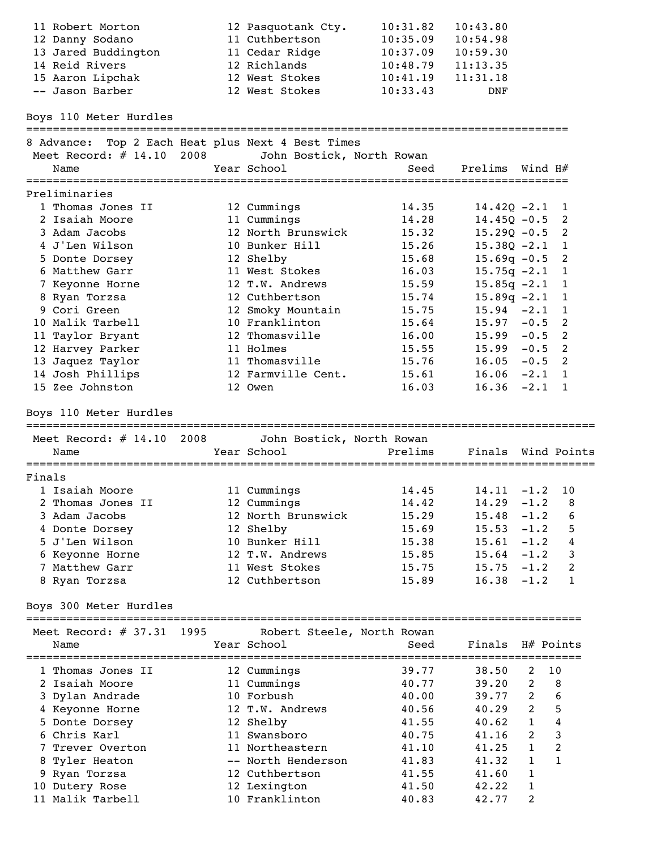|                  | 11 Robert Morton<br>12 Danny Sodano<br>13 Jared Buddington<br>14 Reid Rivers                                     |      | 12 Pasquotank Cty.<br>11 Cuthbertson<br>11 Cedar Ridge<br>12 Richlands   | 10:31.82<br>10:35.09<br>10:37.09<br>10:48.79 | 10:43.80<br>10:54.98<br>10:59.30<br>11:13.35                     |                                                                |                                                      |
|------------------|------------------------------------------------------------------------------------------------------------------|------|--------------------------------------------------------------------------|----------------------------------------------|------------------------------------------------------------------|----------------------------------------------------------------|------------------------------------------------------|
|                  | 15 Aaron Lipchak<br>-- Jason Barber                                                                              |      | 12 West Stokes<br>12 West Stokes                                         | 10:41.19<br>10:33.43                         | 11:31.18<br>DNF                                                  |                                                                |                                                      |
|                  | Boys 110 Meter Hurdles                                                                                           |      |                                                                          |                                              |                                                                  |                                                                |                                                      |
|                  | 8 Advance: Top 2 Each Heat plus Next 4 Best Times<br>Meet Record: # 14.10 2008 John Bostick, North Rowan<br>Name |      | Year School                                                              | Seed                                         | Prelims Wind H#                                                  |                                                                |                                                      |
|                  | Preliminaries                                                                                                    |      |                                                                          |                                              |                                                                  |                                                                |                                                      |
|                  | 1 Thomas Jones II<br>2 Isaiah Moore<br>3 Adam Jacobs                                                             |      | 12 Cummings<br>11 Cummings<br>12 North Brunswick                         | 14.35<br>14.28<br>15.32                      | $14.42Q - 2.1$<br>$14.45Q - 0.5$<br>$15.29Q - 0.5$ 2             |                                                                | $\overline{1}$<br>$\overline{\phantom{0}}^2$         |
|                  | 4 J'Len Wilson<br>5 Donte Dorsey<br>6 Matthew Garr                                                               |      | 10 Bunker Hill<br>12 Shelby<br>11 West Stokes                            | 15.26<br>15.68<br>16.03                      | $15.38Q - 2.1$<br>$15.69q - 0.5$ 2<br>$15.75q -2.1$              |                                                                | $\mathbf{1}$<br>$\overline{1}$                       |
|                  | 7 Keyonne Horne<br>8 Ryan Torzsa<br>9 Cori Green<br>10 Malik Tarbell                                             |      | 12 T.W. Andrews<br>12 Cuthbertson<br>12 Smoky Mountain<br>10 Franklinton | 15.59<br>15.74<br>15.75<br>15.64             | $15.85q -2.1$<br>$15.89q -2.1$<br>$15.94 - 2.1$<br>$15.97 - 0.5$ |                                                                | $\mathbf{1}$<br>1<br>1<br>$\overline{\phantom{0}}^2$ |
|                  | 11 Taylor Bryant<br>12 Harvey Parker<br>13 Jaquez Taylor                                                         |      | 12 Thomasville<br>11 Holmes<br>11 Thomasville                            | 16.00<br>15.55<br>15.76                      | $15.99 - 0.5$ 2<br>$15.99 - 0.5$ 2<br>$16.05 - 0.5$ 2            |                                                                |                                                      |
|                  | 14 Josh Phillips<br>15 Zee Johnston<br>Boys 110 Meter Hurdles                                                    |      | 12 Farmville Cent.<br>12 Owen                                            | 15.61<br>16.03                               | $16.06 -2.1 1$<br>$16.36 -2.1 1$                                 |                                                                |                                                      |
|                  | Meet Record: # 14.10 2008<br>Name                                                                                |      | John Bostick, North Rowan<br>Year School                                 | Prelims                                      | Finals Wind Points                                               |                                                                |                                                      |
|                  |                                                                                                                  |      |                                                                          |                                              |                                                                  |                                                                |                                                      |
| Finals           | 1 Isaiah Moore<br>2 Thomas Jones II<br>3 Adam Jacobs                                                             |      | 11 Cummings<br>12 Cummings<br>12 North Brunswick                         | 14.45<br>14.42<br>15.29                      | $14.11 - 1.2 10$<br>$14.29 - 1.2$ 8<br>15.48                     | $-1.2$                                                         | 6                                                    |
|                  | 4 Donte Dorsey<br>5 J'Len Wilson<br>6 Keyonne Horne<br>7 Matthew Garr                                            |      | 12 Shelby<br>10 Bunker Hill<br>12 T.W. Andrews<br>11 West Stokes         | 15.69<br>15.38<br>15.85<br>15.75             | 15.53<br>15.61<br>15.64<br>15.75                                 | $-1.2$<br>$-1.2$<br>$-1.2$<br>$-1.2$                           | 5<br>4<br>3<br>2                                     |
|                  | 8 Ryan Torzsa<br>Boys 300 Meter Hurdles                                                                          |      | 12 Cuthbertson                                                           | 15.89                                        | 16.38                                                            | $-1.2$                                                         | 1                                                    |
|                  | Meet Record: $\#$ 37.31<br>Name                                                                                  | 1995 | Robert Steele, North Rowan<br>Year School                                | Seed                                         | Finals                                                           |                                                                | H# Points                                            |
|                  | 1 Thomas Jones II<br>2 Isaiah Moore                                                                              |      | 12 Cummings<br>11 Cummings                                               | 39.77<br>40.77                               | 38.50<br>39.20                                                   | 2<br>2                                                         | 10<br>8                                              |
|                  | 3 Dylan Andrade<br>4 Keyonne Horne<br>5 Donte Dorsey                                                             |      | 10 Forbush<br>12 T.W. Andrews<br>12 Shelby                               | 40.00<br>40.56<br>41.55                      | 39.77<br>40.29<br>40.62                                          | $\overline{2}$<br>$\overline{2}$<br>$\mathbf{1}$               | 6<br>5<br>$\overline{4}$                             |
|                  | 6 Chris Karl<br>7 Trever Overton<br>8 Tyler Heaton<br>9 Ryan Torzsa                                              |      | 11 Swansboro<br>11 Northeastern<br>-- North Henderson<br>12 Cuthbertson  | 40.75<br>41.10<br>41.83<br>41.55             | 41.16<br>41.25<br>41.32<br>41.60                                 | $\overline{2}$<br>$\mathbf{1}$<br>$\mathbf{1}$<br>$\mathbf{1}$ | 3<br>$\overline{c}$<br>$\mathbf{1}$                  |
| 11 Malik Tarbell | 10 Dutery Rose                                                                                                   |      | 12 Lexington                                                             | 41.50                                        | 42.22                                                            | 1                                                              |                                                      |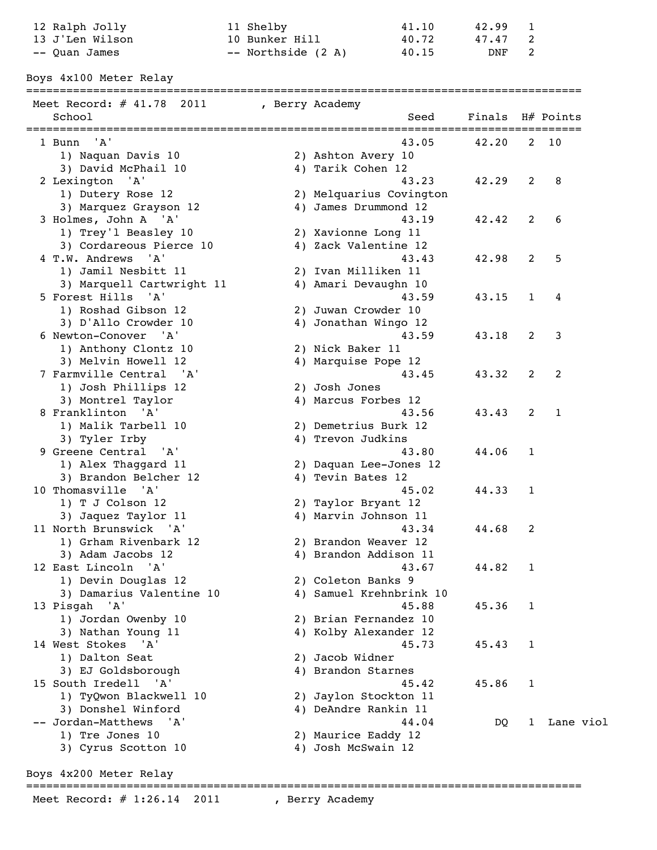| 12 Ralph Jolly<br>13 J'Len Wilson             | 11 Shelby<br>10 Bunker Hill |                       | 41.10<br>40.72          | 42.99<br>47.47 | 1<br>2       |              |
|-----------------------------------------------|-----------------------------|-----------------------|-------------------------|----------------|--------------|--------------|
| -- Quan James                                 | -- Northside (2 A)          |                       | 40.15                   | DNF            | 2            |              |
| Boys 4x100 Meter Relay                        |                             |                       |                         |                |              |              |
|                                               |                             |                       |                         |                |              |              |
| Meet Record: $\#$ 41.78 2011<br>School        | , Berry Academy             |                       | Seed                    | Finals         |              | H# Points    |
|                                               |                             |                       |                         |                |              |              |
| 1 Bunn 'A'                                    |                             |                       | 43.05                   | 42.20          |              | $2 \quad 10$ |
| 1) Naquan Davis 10                            |                             | 2) Ashton Avery 10    |                         |                |              |              |
| 3) David McPhail 10                           |                             | 4) Tarik Cohen 12     |                         |                |              |              |
| 2 Lexington 'A'                               |                             |                       | 43.23                   | 42.29          | 2            | 8            |
| 1) Dutery Rose 12                             |                             |                       | 2) Melquarius Covington |                |              |              |
| 3) Marquez Grayson 12<br>3 Holmes, John A 'A' |                             | 4) James Drummond 12  | 43.19                   | 42.42          | 2            | 6            |
| 1) Trey'l Beasley 10                          |                             | 2) Xavionne Long 11   |                         |                |              |              |
| 3) Cordareous Pierce 10                       |                             | 4) Zack Valentine 12  |                         |                |              |              |
| 4 T.W. Andrews 'A'                            |                             |                       | 43.43                   | 42.98          | 2            | 5            |
| 1) Jamil Nesbitt 11                           |                             | 2) Ivan Milliken 11   |                         |                |              |              |
| 3) Marquell Cartwright 11                     |                             | 4) Amari Devaughn 10  |                         |                |              |              |
| 5 Forest Hills 'A'                            |                             |                       | 43.59                   | 43.15          | 1            | 4            |
| 1) Roshad Gibson 12                           |                             | 2) Juwan Crowder 10   |                         |                |              |              |
| 3) D'Allo Crowder 10                          |                             | 4) Jonathan Wingo 12  |                         |                |              |              |
| 6 Newton-Conover 'A'                          |                             |                       | 43.59                   | 43.18          | 2            | 3            |
| 1) Anthony Clontz 10                          |                             | 2) Nick Baker 11      |                         |                |              |              |
| 3) Melvin Howell 12                           |                             | 4) Marquise Pope 12   |                         |                |              |              |
| 7 Farmville Central 'A'                       |                             |                       | 43.45                   | 43.32          | 2            | 2            |
| 1) Josh Phillips 12                           |                             | 2) Josh Jones         |                         |                |              |              |
| 3) Montrel Taylor                             |                             | 4) Marcus Forbes 12   |                         |                |              |              |
| 8 Franklinton 'A'                             |                             |                       | 43.56                   | 43.43          | 2            | 1            |
| 1) Malik Tarbell 10                           |                             | 2) Demetrius Burk 12  |                         |                |              |              |
| 3) Tyler Irby                                 |                             | 4) Trevon Judkins     |                         |                |              |              |
| 9 Greene Central 'A'                          |                             |                       | 43.80                   | 44.06          | 1            |              |
| 1) Alex Thaggard 11                           |                             |                       | 2) Daquan Lee-Jones 12  |                |              |              |
| 3) Brandon Belcher 12                         |                             | 4) Tevin Bates 12     |                         |                |              |              |
| 10 Thomasville 'A'                            |                             |                       | 45.02                   | 44.33          | 1            |              |
| 1) T J Colson 12                              |                             | 2) Taylor Bryant 12   |                         |                |              |              |
| 3) Jaquez Taylor 11                           |                             | 4) Marvin Johnson 11  |                         |                |              |              |
| 11 North Brunswick 'A'                        |                             |                       | 43.34                   | 44.68          | 2            |              |
| 1) Grham Rivenbark 12                         |                             | 2) Brandon Weaver 12  |                         |                |              |              |
| 3) Adam Jacobs 12<br>12 East Lincoln 'A'      |                             | 4) Brandon Addison 11 | 43.67                   | 44.82          | 1            |              |
| 1) Devin Douglas 12                           |                             | 2) Coleton Banks 9    |                         |                |              |              |
| 3) Damarius Valentine 10                      |                             |                       | 4) Samuel Krehnbrink 10 |                |              |              |
| 13 Pisgah 'A'                                 |                             |                       | 45.88                   | 45.36          | 1            |              |
| 1) Jordan Owenby 10                           |                             | 2) Brian Fernandez 10 |                         |                |              |              |
| 3) Nathan Young 11                            |                             | 4) Kolby Alexander 12 |                         |                |              |              |
| 14 West Stokes<br>'A'                         |                             |                       | 45.73                   | 45.43          | 1            |              |
| 1) Dalton Seat                                |                             | 2) Jacob Widner       |                         |                |              |              |
| 3) EJ Goldsborough                            |                             | 4) Brandon Starnes    |                         |                |              |              |
| 15 South Iredell 'A'                          |                             |                       | 45.42                   | 45.86          | 1            |              |
| 1) TyQwon Blackwell 10                        |                             | 2) Jaylon Stockton 11 |                         |                |              |              |
| 3) Donshel Winford                            |                             | 4) DeAndre Rankin 11  |                         |                |              |              |
| -- Jordan-Matthews<br>' A '                   |                             |                       | 44.04                   | DQ             | $\mathbf{1}$ | Lane viol    |
| 1) Tre Jones 10                               |                             | 2) Maurice Eaddy 12   |                         |                |              |              |
| 3) Cyrus Scotton 10                           |                             | 4) Josh McSwain 12    |                         |                |              |              |
|                                               |                             |                       |                         |                |              |              |

Boys 4x200 Meter Relay ===================================================================================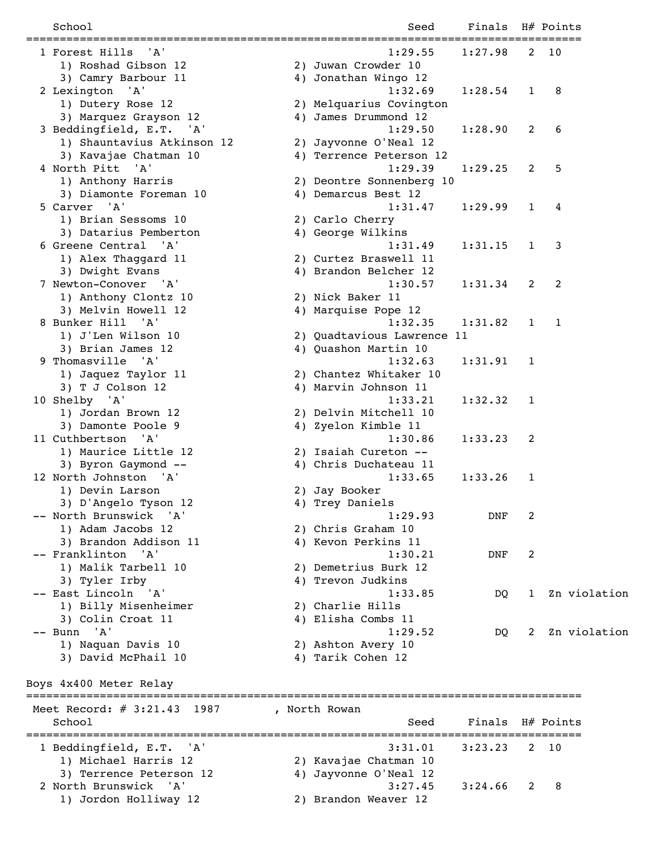| School                            | Seed                                          | Finals H# Points |   |                 |
|-----------------------------------|-----------------------------------------------|------------------|---|-----------------|
| 1 Forest Hills<br>'A'             | 1:29.55                                       | $1:27.98$ 2 10   |   | =============== |
| 1) Roshad Gibson 12               | 2) Juwan Crowder 10                           |                  |   |                 |
| 3) Camry Barbour 11               | 4) Jonathan Wingo 12                          |                  |   |                 |
| 2 Lexington 'A'                   | 1:32.69                                       | 1:28.54          | 1 | 8               |
| 1) Dutery Rose 12                 | 2) Melquarius Covington                       |                  |   |                 |
| 3) Marquez Grayson 12             | 4) James Drummond 12                          |                  |   |                 |
| 3 Beddingfield, E.T. 'A'          | 1:29.50                                       | 1:28.90          | 2 | 6               |
| 1) Shauntavius Atkinson 12        | 2) Jayvonne O'Neal 12                         |                  |   |                 |
| 3) Kavajae Chatman 10             | 4) Terrence Peterson 12                       |                  |   |                 |
| 4 North Pitt 'A'                  | 1:29.39                                       | 1:29.25          | 2 | 5               |
|                                   |                                               |                  |   |                 |
| 1) Anthony Harris                 | 2) Deontre Sonnenberg 10                      |                  |   |                 |
| 3) Diamonte Foreman 10            | 4) Demarcus Best 12                           |                  |   |                 |
| 5 Carver 'A'                      | 1:31.47                                       | 1:29.99          | 1 | 4               |
| 1) Brian Sessoms 10               | 2) Carlo Cherry                               |                  |   |                 |
| 3) Datarius Pemberton             | 4) George Wilkins                             |                  |   |                 |
| 6 Greene Central 'A'              | 1:31.49                                       | 1:31.15          | 1 | 3               |
| 1) Alex Thaggard 11               | 2) Curtez Braswell 11                         |                  |   |                 |
| 3) Dwight Evans                   | 4) Brandon Belcher 12                         |                  |   |                 |
| 7 Newton-Conover 'A'              | 1:30.57                                       | 1:31.34          | 2 | 2               |
| 1) Anthony Clontz 10              | 2) Nick Baker 11                              |                  |   |                 |
| 3) Melvin Howell 12               | 4) Marquise Pope 12                           |                  |   |                 |
| 8 Bunker Hill 'A'                 | 1:32.35                                       | 1:31.82          | 1 | $\mathbf{1}$    |
| 1) J'Len Wilson 10                | 2) Quadtavious Lawrence 11                    |                  |   |                 |
| 3) Brian James 12                 | 4) Quashon Martin 10                          |                  |   |                 |
| 9 Thomasville 'A'                 | 1:32.63                                       | 1:31.91          | 1 |                 |
| 1) Jaquez Taylor 11               | 2) Chantez Whitaker 10                        |                  |   |                 |
| 3) T J Colson 12                  | 4) Marvin Johnson 11                          |                  |   |                 |
| 10 Shelby 'A'                     | 1:33.21                                       | 1:32.32          | 1 |                 |
| 1) Jordan Brown 12                | 2) Delvin Mitchell 10                         |                  |   |                 |
| 3) Damonte Poole 9                | 4) Zyelon Kimble 11                           |                  |   |                 |
| 11 Cuthbertson 'A'                | 1:30.86                                       | 1:33.23          | 2 |                 |
| 1) Maurice Little 12              | 2) Isaiah Cureton --                          |                  |   |                 |
| 3) Byron Gaymond --               | 4) Chris Duchateau 11                         |                  |   |                 |
|                                   |                                               |                  |   |                 |
| 12 North Johnston 'A'             | 1:33.65                                       | 1:33.26          | 1 |                 |
| 1) Devin Larson                   | 2) Jay Booker                                 |                  |   |                 |
| 3) D'Angelo Tyson 12              | 4) Trey Daniels                               |                  |   |                 |
| -- North Brunswick<br>'A'         | 1:29.93                                       | DNF              | 2 |                 |
| 1) Adam Jacobs 12                 | 2) Chris Graham 10                            |                  |   |                 |
| 3) Brandon Addison 11             | 4) Kevon Perkins 11                           |                  |   |                 |
| -- Franklinton 'A'                | 1:30.21                                       | DNF              | 2 |                 |
| 1) Malik Tarbell 10               | 2) Demetrius Burk 12                          |                  |   |                 |
| 3) Tyler Irby                     | 4) Trevon Judkins                             |                  |   |                 |
| -- East Lincoln 'A'               | 1:33.85                                       | DQ               | 1 | Zn violation    |
| 1) Billy Misenheimer              | 2) Charlie Hills                              |                  |   |                 |
| 3) Colin Croat 11                 | 4) Elisha Combs 11                            |                  |   |                 |
| ' A '<br>-- Bunn                  | 1:29.52                                       | DQ.              | 2 | Zn violation    |
| 1) Naquan Davis 10                | 2) Ashton Avery 10                            |                  |   |                 |
| 3) David McPhail 10               | 4) Tarik Cohen 12                             |                  |   |                 |
|                                   |                                               |                  |   |                 |
| Boys 4x400 Meter Relay            |                                               |                  |   |                 |
| Meet Record: $\#$ 3:21.43<br>1987 | , North Rowan                                 |                  |   |                 |
| School                            | Seed<br>===================================== | Finals           |   | H# Points       |
| 1 Beddingfield, E.T.<br>'A'       | 3:31.01                                       | 3:23.23          | 2 | 10              |
| 1) Michael Harris 12              | 2) Kavajae Chatman 10                         |                  |   |                 |
| 3) Terrence Peterson 12           | 4) Jayvonne O'Neal 12                         |                  |   |                 |
| 2 North Brunswick<br>' A '        | 3:27.45                                       | 3:24.66          | 2 | 8               |
| 1) Jordon Holliway 12             | 2) Brandon Weaver 12                          |                  |   |                 |
|                                   |                                               |                  |   |                 |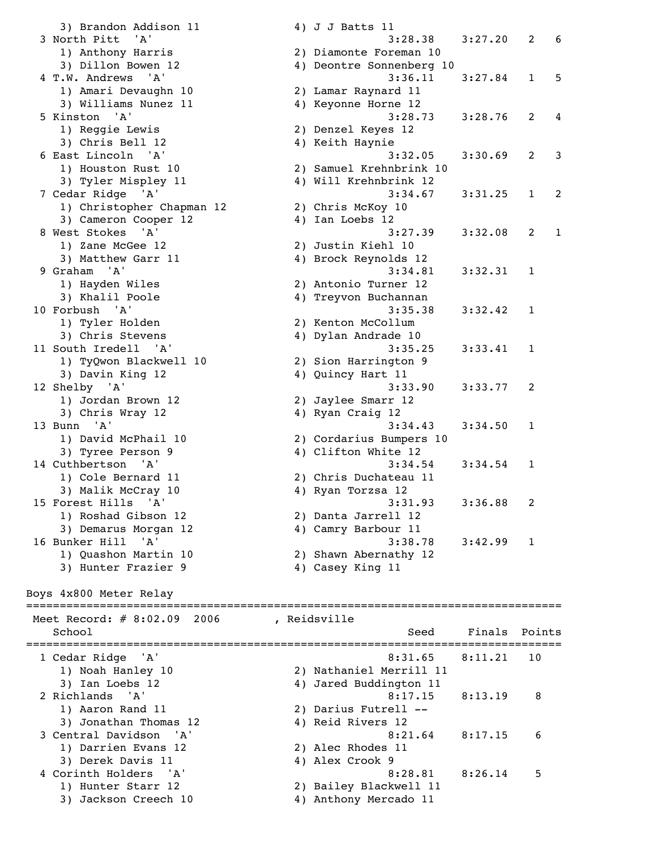> 1) Hunter Starr 12 2) Bailey Blackwell 11 3) Jackson Creech 10 4) Anthony Mercado 11

| 11011111100                                   |                          |         |                   |
|-----------------------------------------------|--------------------------|---------|-------------------|
| 1) Anthony Harris                             | 2) Diamonte Foreman 10   |         |                   |
| 3) Dillon Bowen 12                            | 4) Deontre Sonnenberg 10 |         |                   |
| 4 T.W. Andrews<br>'A'                         | 3:36.11                  | 3:27.84 | 5<br>$\mathbf{1}$ |
| 1) Amari Devaughn 10                          | 2) Lamar Raynard 11      |         |                   |
| 3) Williams Nunez 11                          | 4) Keyonne Horne 12      |         |                   |
| 5 Kinston<br>'A'                              | 3:28.73                  | 3:28.76 | 2<br>4            |
| 1) Reggie Lewis                               | 2) Denzel Keyes 12       |         |                   |
| 3) Chris Bell 12                              | 4) Keith Haynie          |         |                   |
| 6 East Lincoln<br>'A'                         | 3:32.05                  | 3:30.69 | 2<br>3            |
|                                               |                          |         |                   |
| 1) Houston Rust 10                            | 2) Samuel Krehnbrink 10  |         |                   |
| 3) Tyler Mispley 11                           | 4) Will Krehnbrink 12    |         |                   |
| 7 Cedar Ridge 'A'                             | 3:34.67                  | 3:31.25 | $\mathbf{1}$<br>2 |
| 1) Christopher Chapman 12                     | 2) Chris McKoy 10        |         |                   |
| 3) Cameron Cooper 12                          | 4) Ian Loebs 12          |         |                   |
| 8 West Stokes<br>'A'                          | 3:27.39                  | 3:32.08 | 2<br>1            |
| 1) Zane McGee 12                              | 2) Justin Kiehl 10       |         |                   |
| 3) Matthew Garr 11                            | 4) Brock Reynolds 12     |         |                   |
| 9 Graham<br>'A'                               | 3:34.81                  | 3:32.31 | 1                 |
| 1) Hayden Wiles                               | 2) Antonio Turner 12     |         |                   |
| 3) Khalil Poole                               | 4) Treyvon Buchannan     |         |                   |
| 10 Forbush 'A'                                | 3:35.38                  | 3:32.42 | 1                 |
|                                               |                          |         |                   |
| 1) Tyler Holden                               | 2) Kenton McCollum       |         |                   |
| 3) Chris Stevens                              | 4) Dylan Andrade 10      |         |                   |
| 11 South Iredell<br>$^{\prime}$ A $^{\prime}$ | 3:35.25                  | 3:33.41 | 1                 |
| 1) TyQwon Blackwell 10                        | 2) Sion Harrington 9     |         |                   |
| 3) Davin King 12                              | 4) Quincy Hart 11        |         |                   |
| 12 Shelby 'A'                                 | 3:33.90                  | 3:33.77 | 2                 |
| 1) Jordan Brown 12                            | 2) Jaylee Smarr 12       |         |                   |
| 3) Chris Wray 12                              | 4) Ryan Craig 12         |         |                   |
| 13 Bunn 'A'                                   | 3:34.43                  | 3:34.50 | 1                 |
| 1) David McPhail 10                           | 2) Cordarius Bumpers 10  |         |                   |
| 3) Tyree Person 9                             | 4) Clifton White 12      |         |                   |
| 14 Cuthbertson 'A'                            | 3:34.54                  | 3:34.54 | 1                 |
|                                               |                          |         |                   |
| 1) Cole Bernard 11                            | 2) Chris Duchateau 11    |         |                   |
| 3) Malik McCray 10                            | 4) Ryan Torzsa 12        |         |                   |
| 15 Forest Hills<br>'A'                        | 3:31.93                  | 3:36.88 | 2                 |
| 1) Roshad Gibson 12                           | 2) Danta Jarrell 12      |         |                   |
| 3) Demarus Morgan 12                          | 4) Camry Barbour 11      |         |                   |
| 16 Bunker Hill<br>' A'                        | 3:38.78                  | 3:42.99 | 1                 |
| 1) Quashon Martin 10                          | 2) Shawn Abernathy 12    |         |                   |
| 3) Hunter Frazier 9                           | 4) Casey King 11         |         |                   |
|                                               |                          |         |                   |
| Boys 4x800 Meter Relay                        |                          |         |                   |
|                                               | ----------------------   |         |                   |
| Meet Record: $# 8:02.09$<br>2006              | , Reidsville             |         |                   |
| School                                        | Seed                     | Finals  | Points            |
|                                               |                          |         |                   |
| 1 Cedar Ridge<br>'A'                          | 8:31.65                  | 8:11.21 | 10                |
| 1) Noah Hanley 10                             | 2) Nathaniel Merrill 11  |         |                   |
| 3) Ian Loebs 12                               | 4) Jared Buddington 11   |         |                   |
| 2 Richlands<br>' A '                          | 8:17.15                  | 8:13.19 | 8                 |
| 1) Aaron Rand 11                              | 2) Darius Futrell --     |         |                   |
| 3) Jonathan Thomas 12                         | 4) Reid Rivers 12        |         |                   |
| 3 Central Davidson<br>' A'                    | 8:21.64                  | 8:17.15 | 6                 |
|                                               |                          |         |                   |
| 1) Darrien Evans 12                           | 2) Alec Rhodes 11        |         |                   |
| 3) Derek Davis 11                             | 4) Alex Crook 9          |         |                   |
| 4 Corinth Holders 'A'                         | $8:28.81$ $8:26.14$      |         | 5                 |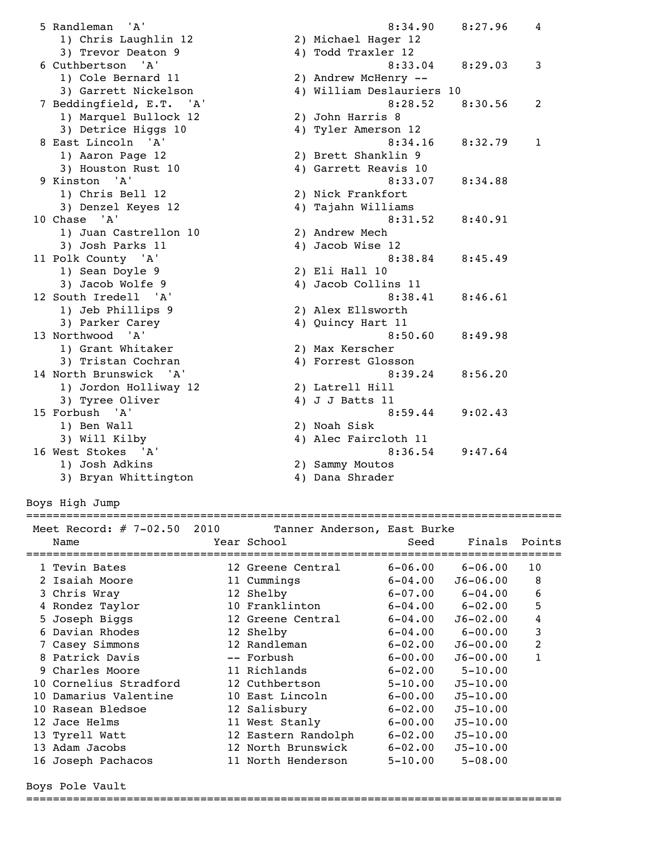5 Randleman 'A' 8:34.90 8:27.96 4 1) Chris Laughlin 12 2) Michael Hager 12 3) Trevor Deaton 9 1 4) Todd Traxler 12 6 Cuthbertson 'A' 8:33.04 8:29.03 3 1) Cole Bernard 11 2) Andrew McHenry -- 3) Garrett Nickelson 4) William Deslauriers 10 7 Beddingfield, E.T. 'A' 8:28.52 8:30.56 2 1) Marquel Bullock 12 2) John Harris 8 3) Detrice Higgs 10  $\hskip1cm$  4) Tyler Amerson 12 8 East Lincoln 'A' 8:34.16 8:32.79 1 1) Aaron Page 12 2) Brett Shanklin 9 3) Houston Rust 10 4) Garrett Reavis 10 9 Kinston 'A' 8:33.07 8:34.88 1) Chris Bell 12 2) Nick Frankfort<br>3) Denzel Keyes 12 3) Tajahn Williams 4) Tajahn Williams 10 Chase 'A' 8:31.52 8:40.91 1) Juan Castrellon 10 2) Andrew Mech 3) Josh Parks 11 (a) 4) Jacob Wise 12<br>
3 38.84 (a) 38.38.84 (a) 40 (a) 40 (a) 40 (a) 41 (a) 42 (a) 438.84 (a) 45.49 11 Polk County 'A' 1) Sean Doyle 9 2) Eli Hall 10 3) Jacob Wolfe 9 (1998) 4) Jacob Collins 11<br>
139.41 (1998) 8:38.41 (1998) 8:46.61 12 South Iredell 'A' 1) Jeb Phillips 9 2) Alex Ellsworth 3) Parker Carey 1992 (4) Quincy Hart 11 13 Northwood 'A' 8:50.60 8:49.98 1) Grant Whitaker 2) Max Kerscher 3) Tristan Cochran (4) Forrest Glosson 14 North Brunswick 'A' 8:39.24 8:56.20 1) Jordon Holliway 12 2) Latrell Hill 3) Tyree Oliver 4) J J Batts 11 15 Forbush 'A' 8:59.44 9:02.43 1) Ben Wall 2) Noah Sisk 3) Will Kilby 4) Alec Faircloth 11 16 West Stokes 'A' 8:36.54 9:47.64 1) Josh Adkins 2) Sammy Moutos 3) Bryan Whittington (2) 2011/2020

Boys High Jump

================================================================================

| Meet Record: $\#$ 7-02.50 2010<br>Name<br>============================ | Tanner Anderson, East Burke<br>Year School | Seed        | Finals Points |                |
|------------------------------------------------------------------------|--------------------------------------------|-------------|---------------|----------------|
| 1 Tevin Bates                                                          | 12 Greene Central                          | $6 - 06.00$ | $6 - 06.00$   | 10             |
| 2 Isaiah Moore                                                         | 11 Cummings                                | $6 - 04.00$ | $J6 - 06.00$  | 8              |
| 3 Chris Wray                                                           | 12 Shelby                                  | $6 - 07.00$ | $6 - 04.00$   | 6              |
| 4 Rondez Taylor                                                        | 10 Franklinton                             | $6 - 04.00$ | $6 - 02.00$   | 5              |
| 5 Joseph Biggs                                                         | 12 Greene Central                          | $6 - 04.00$ | $J6 - 02.00$  | 4              |
| 6 Davian Rhodes                                                        | 12 Shelby                                  | $6 - 04.00$ | $6 - 00.00$   | 3              |
| 7 Casey Simmons                                                        | 12 Randleman                               | $6 - 02.00$ | $J6 - 00.00$  | $\overline{2}$ |
| 8 Patrick Davis                                                        | -- Forbush                                 | $6 - 00.00$ | $J6 - 00.00$  | 1              |
| 9 Charles Moore                                                        | 11 Richlands                               | $6 - 02.00$ | $5 - 10.00$   |                |
| 10 Cornelius Stradford                                                 | 12 Cuthbertson                             | $5 - 10.00$ | $J5 - 10.00$  |                |
| 10 Damarius Valentine                                                  | 10 East Lincoln                            | $6 - 00.00$ | $J5 - 10.00$  |                |
| 10 Rasean Bledsoe                                                      | 12 Salisbury                               | $6 - 02.00$ | $J5 - 10.00$  |                |
| 12 Jace Helms                                                          | 11 West Stanly                             | $6 - 00.00$ | $J5 - 10.00$  |                |
| 13 Tyrell Watt                                                         | 12 Eastern Randolph                        | $6 - 02.00$ | $J5 - 10.00$  |                |
| 13 Adam Jacobs                                                         | 12 North Brunswick                         | $6 - 02.00$ | $J5 - 10.00$  |                |
| 16 Joseph Pachacos                                                     | 11 North Henderson                         | $5 - 10.00$ | $5 - 08.00$   |                |

Boys Pole Vault

================================================================================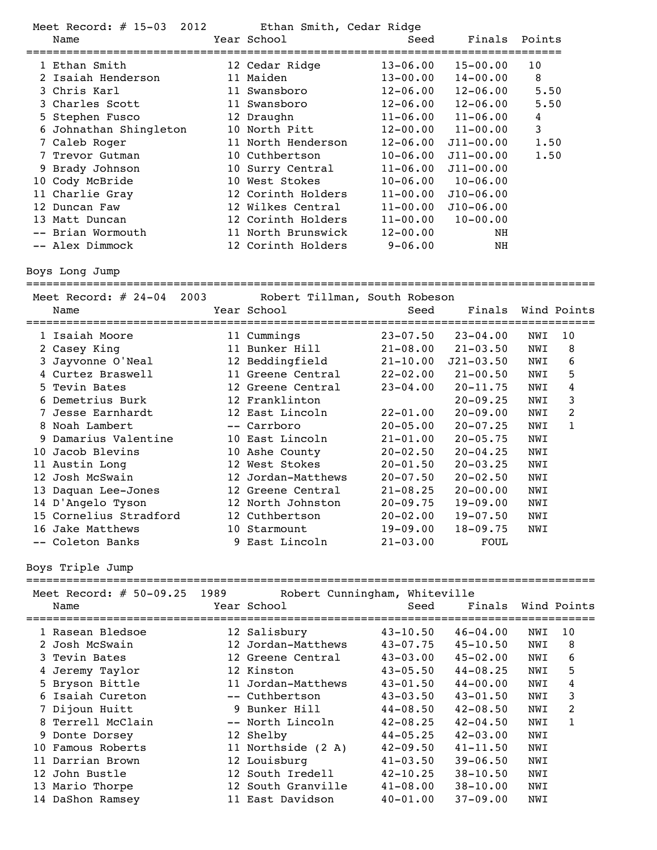| Meet Record: $\#$ 15-03<br>2012<br>Ethan Smith, Cedar Ridge |                            |  |                    |              |               |               |
|-------------------------------------------------------------|----------------------------|--|--------------------|--------------|---------------|---------------|
|                                                             | Name                       |  | Year School        | Seed         |               | Finals Points |
|                                                             | ========================== |  |                    |              |               |               |
|                                                             | 1 Ethan Smith              |  | 12 Cedar Ridge     | $13 - 06.00$ | $15 - 00.00$  | 10            |
|                                                             | 2 Isaiah Henderson         |  | 11 Maiden          | $13 - 00.00$ | $14 - 00.00$  | 8             |
|                                                             | 3 Chris Karl               |  | 11 Swansboro       | $12 - 06.00$ | $12 - 06.00$  | 5.50          |
|                                                             | 3 Charles Scott            |  | 11 Swansboro       | $12 - 06.00$ | $12 - 06.00$  | 5.50          |
|                                                             | 5 Stephen Fusco            |  | 12 Draughn         | $11 - 06.00$ | $11 - 06.00$  | 4             |
|                                                             | 6 Johnathan Shingleton     |  | 10 North Pitt      | $12 - 00.00$ | $11 - 00.00$  | 3             |
|                                                             | 7 Caleb Roger              |  | 11 North Henderson | $12 - 06.00$ | $J11 - 00.00$ | 1.50          |
|                                                             | 7 Trevor Gutman            |  | 10 Cuthbertson     | $10 - 06.00$ | $J11 - 00.00$ | 1.50          |
|                                                             | 9 Brady Johnson            |  | 10 Surry Central   | $11 - 06.00$ | $J11 - 00.00$ |               |
|                                                             | 10 Cody McBride            |  | 10 West Stokes     | $10 - 06.00$ | $10 - 06.00$  |               |
|                                                             | 11 Charlie Gray            |  | 12 Corinth Holders | $11 - 00.00$ | $J10 - 06.00$ |               |
|                                                             | 12 Duncan Faw              |  | 12 Wilkes Central  | $11 - 00.00$ | $J10 - 06.00$ |               |
|                                                             | 13 Matt Duncan             |  | 12 Corinth Holders | $11 - 00.00$ | $10 - 00.00$  |               |
|                                                             | -- Brian Wormouth          |  | 11 North Brunswick | $12 - 00.00$ | NH            |               |
|                                                             | -- Alex Dimmock            |  | 12 Corinth Holders | $9 - 06.00$  | NH            |               |

Boys Long Jump

===================================================================================== Meet Record: # 24-04 2003 Robert Tillman, South Robeson

| Meet Record: $#$ 24-04 2003 | RODETT TIIIMAN, SOUTH RODESON |              |               |     |              |
|-----------------------------|-------------------------------|--------------|---------------|-----|--------------|
| Name                        | Year School                   | Seed         | Finals        |     | Wind Points  |
| 1 Isaiah Moore              | 11 Cummings                   | $23 - 07.50$ | 23-04.00      | NWI | 10           |
| 2 Casey King                | 11 Bunker Hill                | $21 - 08.00$ | $21 - 03.50$  | NWI | 8            |
| 3 Jayvonne O'Neal           | 12 Beddingfield               | $21 - 10.00$ | $J21 - 03.50$ | NWI | 6            |
| 4 Curtez Braswell           | 11 Greene Central             | $22 - 02.00$ | $21 - 00.50$  | NWI | 5            |
| 5 Tevin Bates               | 12 Greene Central             | $23 - 04.00$ | $20 - 11.75$  | NWI | 4            |
| 6 Demetrius Burk            | 12 Franklinton                |              | $20 - 09.25$  | NWI | 3            |
| 7 Jesse Earnhardt           | 12 East Lincoln               | $22 - 01.00$ | $20 - 09.00$  | NWI | 2            |
| 8 Noah Lambert              | -- Carrboro                   | $20 - 05.00$ | $20 - 07.25$  | NWI | $\mathbf{1}$ |
| 9 Damarius Valentine        | 10 East Lincoln               | $21 - 01.00$ | $20 - 05.75$  | NWI |              |
| 10 Jacob Blevins            | 10 Ashe County                | $20 - 02.50$ | $20 - 04.25$  | NWI |              |
| 11 Austin Long              | 12 West Stokes                | $20 - 01.50$ | $20 - 03.25$  | NWI |              |
| 12 Josh McSwain             | 12 Jordan-Matthews            | $20 - 07.50$ | $20 - 02.50$  | NWI |              |
| 13 Daquan Lee-Jones         | 12 Greene Central             | $21 - 08.25$ | $20 - 00.00$  | NWI |              |
| 14 D'Angelo Tyson           | 12 North Johnston             | $20 - 09.75$ | $19 - 09.00$  | NWI |              |
| 15 Cornelius Stradford      | 12 Cuthbertson                | $20 - 02.00$ | $19 - 07.50$  | NWI |              |
| 16 Jake Matthews            | 10 Starmount                  | 19-09.00     | $18 - 09.75$  | NWI |              |
| -- Coleton Banks            | 9 East Lincoln                | $21 - 03.00$ | FOUL          |     |              |

Boys Triple Jump

| Meet Record: $\#$ 50-09.25 1989 |                    | Robert Cunningham, Whiteville |              |     |             |
|---------------------------------|--------------------|-------------------------------|--------------|-----|-------------|
| Name                            | Year School        | Seed                          | Finals       |     | Wind Points |
|                                 |                    |                               |              |     |             |
| 1 Rasean Bledsoe                | 12 Salisbury       | $43 - 10.50$                  | $46 - 04.00$ | NWI | 10          |
| 2 Josh McSwain                  | 12 Jordan-Matthews | $43 - 07.75$                  | $45 - 10.50$ | NWI | 8           |
| 3 Tevin Bates                   | 12 Greene Central  | $43 - 03.00$                  | $45 - 02.00$ | NWI | 6           |
| 4 Jeremy Taylor                 | 12 Kinston         | $43 - 05.50$                  | $44 - 08.25$ | NWI | 5           |
| 5 Bryson Bittle                 | 11 Jordan-Matthews | $43 - 01.50$                  | $44 - 00.00$ | NWI | 4           |
| 6 Isaiah Cureton                | -- Cuthbertson     | $43 - 03.50$                  | $43 - 01.50$ | NWI | 3           |
| 7 Dijoun Huitt                  | 9 Bunker Hill      | $44 - 08.50$                  | $42 - 08.50$ | NWI | 2           |
| 8 Terrell McClain               | -- North Lincoln   | $42 - 08.25$                  | $42 - 04.50$ | NWI | 1           |
| 9 Donte Dorsey                  | 12 Shelby          | $44 - 05.25$                  | $42 - 03.00$ | NWI |             |
| 10 Famous Roberts               | 11 Northside (2 A) | $42 - 09.50$                  | $41 - 11.50$ | NWI |             |
| 11 Darrian Brown                | 12 Louisburg       | $41 - 03.50$                  | $39 - 06.50$ | NWI |             |
| 12 John Bustle                  | 12 South Iredell   | $42 - 10.25$                  | $38 - 10.50$ | NWI |             |
| 13 Mario Thorpe                 | 12 South Granville | $41 - 08.00$                  | $38 - 10.00$ | NWI |             |
| 14 DaShon Ramsey                | 11 East Davidson   | $40 - 01.00$                  | $37 - 09.00$ | NWI |             |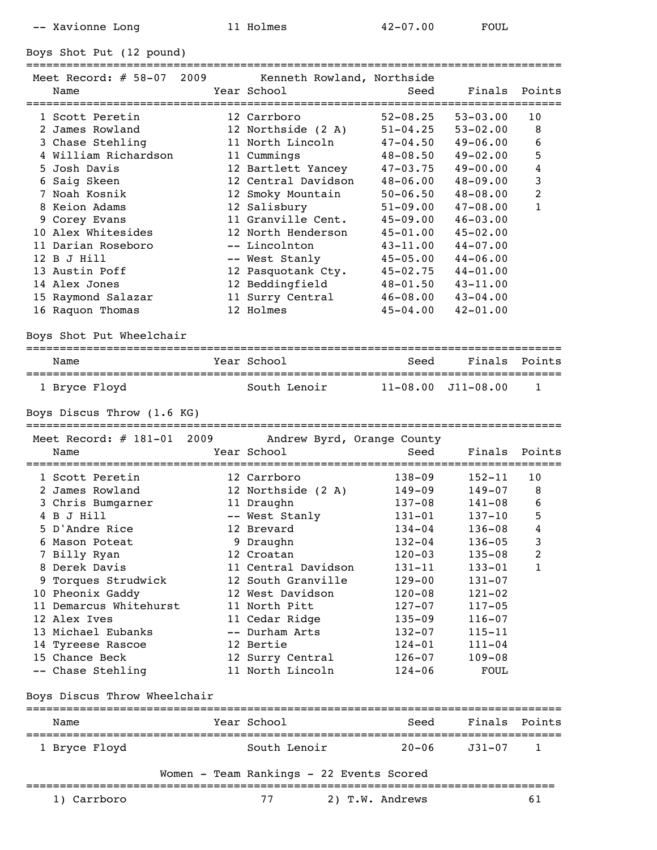-- Xavionne Long 11 Holmes 42-07.00 FOUL

Boys Shot Put (12 pound)

| Meet Record: $# 58-07 2009$<br>Name | Kenneth Rowland, Northside<br>Year School | Seed         | Finals       | Points |
|-------------------------------------|-------------------------------------------|--------------|--------------|--------|
| 1 Scott Peretin                     | 12 Carrboro                               | $52 - 08.25$ | $53 - 03.00$ | 10     |
| 2 James Rowland                     | 12 Northside (2 A)                        | $51 - 04.25$ | $53 - 02.00$ | 8      |
| 3 Chase Stehling                    | 11 North Lincoln                          | $47 - 04.50$ | $49 - 06.00$ | 6      |
| 4 William Richardson                | 11 Cummings                               | $48 - 08.50$ | $49 - 02.00$ | 5      |
| 5 Josh Davis                        | 12 Bartlett Yancey                        | $47 - 03.75$ | $49 - 00.00$ | 4      |
| 6 Saig Skeen                        | 12 Central Davidson                       | $48 - 06.00$ | $48 - 09.00$ | 3      |
| 7 Noah Kosnik                       | 12 Smoky Mountain                         | $50 - 06.50$ | $48 - 08.00$ | 2      |

 7 Noah Kosnik 12 Smoky Mountain 50-06.50 48-08.00 2 8 Keion Adams 12 Salisbury 51-09.00 47-08.00 1 9 Corey Evans 11 Granville Cent. 45-09.00 46-03.00 10 Alex Whitesides 12 North Henderson 45-01.00 45-02.00 11 Darian Roseboro -- Lincolnton 43-11.00 44-07.00 12 B J Hill -- West Stanly 45-05.00 44-06.00 13 Austin Poff 12 Pasquotank Cty. 45-02.75 44-01.00 14 Alex Jones 12 Beddingfield 48-01.50 43-11.00 15 Raymond Salazar 11 Surry Central 46-08.00 43-04.00 16 Raquon Thomas 12 Holmes 45-04.00 42-01.00

================================================================================

Boys Shot Put Wheelchair

| Name          | Year School  | Seed | Finals Points              |  |
|---------------|--------------|------|----------------------------|--|
| 1 Bryce Floyd | South Lenoir |      | $11 - 08.00$ $J11 - 08.00$ |  |

Boys Discus Throw (1.6 KG)

| Meet Record: $\#$ 181-01 2009<br>Name | Andrew Byrd, Orange County<br>Year School | Seed       | Finals     | Points       |
|---------------------------------------|-------------------------------------------|------------|------------|--------------|
| 1 Scott Peretin                       | 12 Carrboro                               | $138 - 09$ | $152 - 11$ | 10           |
| 2 James Rowland                       | 12 Northside (2 A)                        | $149 - 09$ | $149 - 07$ | 8            |
| 3 Chris Bumgarner                     | 11 Draughn                                | 137-08     | 141-08     | 6            |
| 4 B J Hill                            | -- West Stanly                            | 131-01     | $137 - 10$ | 5            |
| 5 D'Andre Rice                        | 12 Brevard                                | 134-04     | $136 - 08$ | 4            |
| 6 Mason Poteat                        | 9 Draughn                                 | $132 - 04$ | $136 - 05$ | 3            |
| 7 Billy Ryan                          | 12 Croatan                                | $120 - 03$ | $135 - 08$ | 2            |
| 8 Derek Davis                         | 11 Central Davidson                       | 131-11     | $133 - 01$ | $\mathbf{1}$ |
| 9 Torques Strudwick                   | 12 South Granville                        | $129 - 00$ | $131 - 07$ |              |
| 10 Pheonix Gaddy                      | 12 West Davidson                          | $120 - 08$ | $121 - 02$ |              |
| 11 Demarcus Whitehurst                | 11 North Pitt                             | $127 - 07$ | $117 - 05$ |              |
| 12 Alex Ives                          | 11 Cedar Ridge                            | $135 - 09$ | $116 - 07$ |              |
| 13 Michael Eubanks                    | -- Durham Arts                            | $132 - 07$ | $115 - 11$ |              |
| 14 Tyreese Rascoe                     | 12 Bertie                                 | $124 - 01$ | $111 - 04$ |              |
| 15 Chance Beck                        | 12 Surry Central                          | $126 - 07$ | $109 - 08$ |              |
| -- Chase Stehling                     | 11 North Lincoln                          | $124 - 06$ | FOUL       |              |

#### Boys Discus Throw Wheelchair

| Name          | Year School  | Seed  | Finals Points |  |
|---------------|--------------|-------|---------------|--|
| 1 Bryce Floyd | South Lenoir | 20–06 | J31-07        |  |

## Women - Team Rankings - 22 Events Scored ===============================================================================